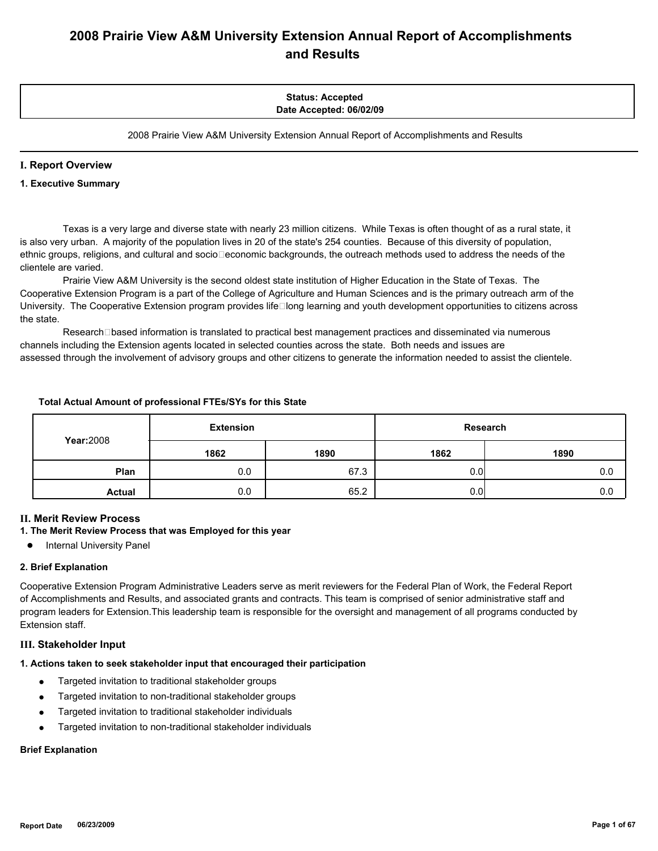# **2008 Prairie View A&M University Extension Annual Report of Accomplishments and Results**

# **Status: Accepted Date Accepted: 06/02/09**

2008 Prairie View A&M University Extension Annual Report of Accomplishments and Results

#### **I. Report Overview**

#### **1. Executive Summary**

 Texas is a very large and diverse state with nearly 23 million citizens. While Texas is often thought of as a rural state, it is also very urban. A majority of the population lives in 20 of the state's 254 counties. Because of this diversity of population, ethnic groups, religions, and cultural and socio□economic backgrounds, the outreach methods used to address the needs of the clientele are varied.

 Prairie View A&M University is the second oldest state institution of Higher Education in the State of Texas. The Cooperative Extension Program is a part of the College of Agriculture and Human Sciences and is the primary outreach arm of the University. The Cooperative Extension program provides life□long learning and youth development opportunities to citizens across the state.

Research□based information is translated to practical best management practices and disseminated via numerous channels including the Extension agents located in selected counties across the state. Both needs and issues are assessed through the involvement of advisory groups and other citizens to generate the information needed to assist the clientele.

#### **Total Actual Amount of professional FTEs/SYs for this State**

|                  | <b>Extension</b> |      |      | Research |
|------------------|------------------|------|------|----------|
| <b>Year:2008</b> | 1862             | 1890 | 1862 | 1890     |
| Plan             | 0.0              | 67.3 | 0.01 | 0.0      |
| <b>Actual</b>    | 0.0              | 65.2 | 0.01 | 0.0      |

#### **II. Merit Review Process**

# **1. The Merit Review Process that was Employed for this year**

● Internal University Panel

#### **2. Brief Explanation**

Cooperative Extension Program Administrative Leaders serve as merit reviewers for the Federal Plan of Work, the Federal Report of Accomplishments and Results, and associated grants and contracts. This team is comprised of senior administrative staff and program leaders for Extension.This leadership team is responsible for the oversight and management of all programs conducted by Extension staff.

#### **III. Stakeholder Input**

# **1. Actions taken to seek stakeholder input that encouraged their participation**

- Targeted invitation to traditional stakeholder groups
- **•** Targeted invitation to non-traditional stakeholder groups
- Targeted invitation to traditional stakeholder individuals
- Targeted invitation to non-traditional stakeholder individuals

# **Brief Explanation**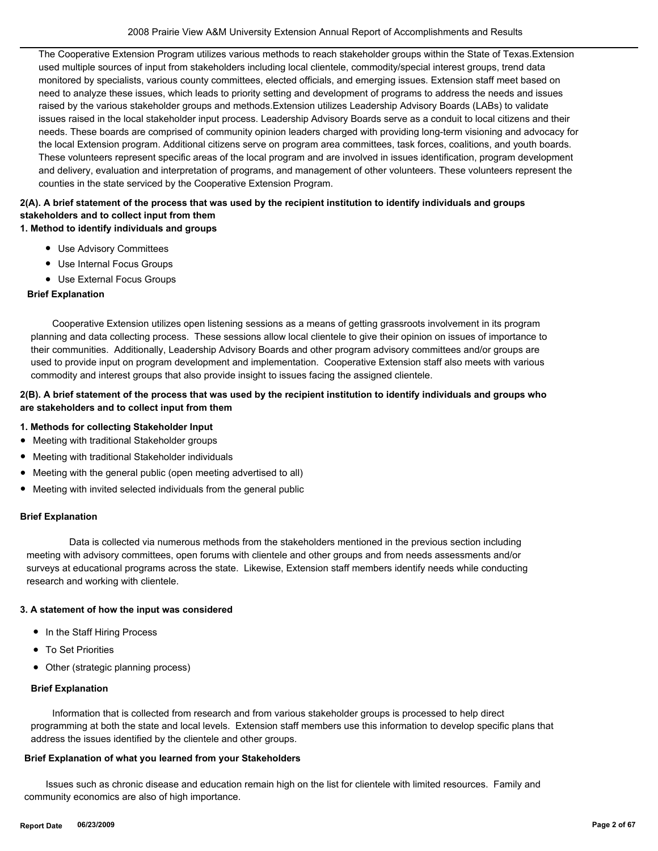The Cooperative Extension Program utilizes various methods to reach stakeholder groups within the State of Texas.Extension used multiple sources of input from stakeholders including local clientele, commodity/special interest groups, trend data monitored by specialists, various county committees, elected officials, and emerging issues. Extension staff meet based on need to analyze these issues, which leads to priority setting and development of programs to address the needs and issues raised by the various stakeholder groups and methods.Extension utilizes Leadership Advisory Boards (LABs) to validate issues raised in the local stakeholder input process. Leadership Advisory Boards serve as a conduit to local citizens and their needs. These boards are comprised of community opinion leaders charged with providing long-term visioning and advocacy for the local Extension program. Additional citizens serve on program area committees, task forces, coalitions, and youth boards. These volunteers represent specific areas of the local program and are involved in issues identification, program development and delivery, evaluation and interpretation of programs, and management of other volunteers. These volunteers represent the counties in the state serviced by the Cooperative Extension Program.

# **1. Method to identify individuals and groups 2(A). A brief statement of the process that was used by the recipient institution to identify individuals and groups stakeholders and to collect input from them**

- Use Advisory Committees
- Use Internal Focus Groups
- Use External Focus Groups

#### **Brief Explanation**

 Cooperative Extension utilizes open listening sessions as a means of getting grassroots involvement in its program planning and data collecting process. These sessions allow local clientele to give their opinion on issues of importance to their communities. Additionally, Leadership Advisory Boards and other program advisory committees and/or groups are used to provide input on program development and implementation. Cooperative Extension staff also meets with various commodity and interest groups that also provide insight to issues facing the assigned clientele.

# **2(B). A brief statement of the process that was used by the recipient institution to identify individuals and groups who are stakeholders and to collect input from them**

- **1. Methods for collecting Stakeholder Input**
- Meeting with traditional Stakeholder groups
- Meeting with traditional Stakeholder individuals
- Meeting with the general public (open meeting advertised to all)
- Meeting with invited selected individuals from the general public

#### **Brief Explanation**

 Data is collected via numerous methods from the stakeholders mentioned in the previous section including meeting with advisory committees, open forums with clientele and other groups and from needs assessments and/or surveys at educational programs across the state. Likewise, Extension staff members identify needs while conducting research and working with clientele.

#### **3. A statement of how the input was considered**

- In the Staff Hiring Process
- To Set Priorities
- Other (strategic planning process)

#### **Brief Explanation**

 Information that is collected from research and from various stakeholder groups is processed to help direct programming at both the state and local levels. Extension staff members use this information to develop specific plans that address the issues identified by the clientele and other groups.

#### **Brief Explanation of what you learned from your Stakeholders**

 Issues such as chronic disease and education remain high on the list for clientele with limited resources. Family and community economics are also of high importance.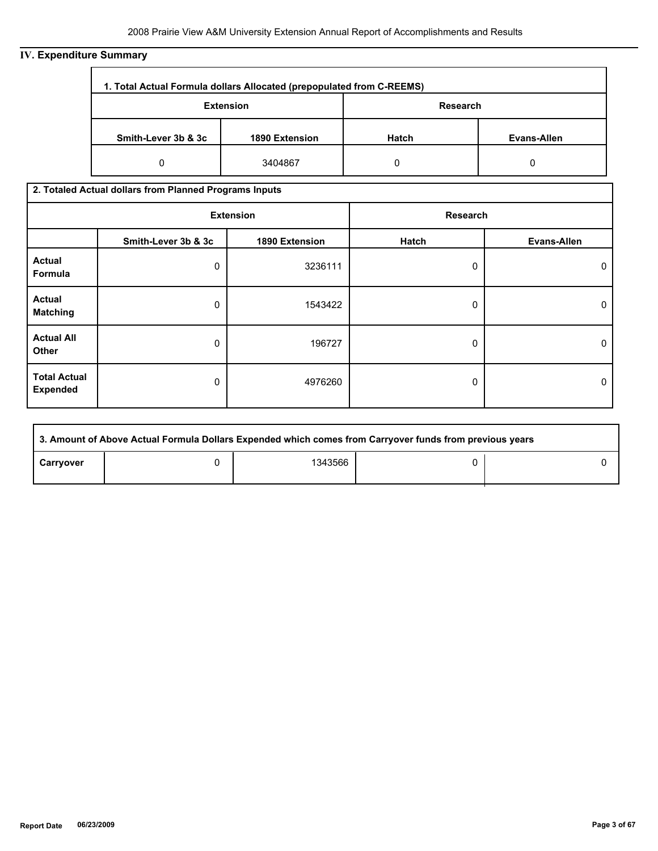# **IV. Expenditure Summary**

| 1. Total Actual Formula dollars Allocated (prepopulated from C-REEMS) |                |          |             |  |
|-----------------------------------------------------------------------|----------------|----------|-------------|--|
| <b>Extension</b>                                                      |                | Research |             |  |
| Smith-Lever 3b & 3c                                                   | 1890 Extension |          | Evans-Allen |  |
| 0                                                                     | 3404867        | 0        |             |  |

# **2. Totaled Actual dollars from Planned Programs Inputs**

| <b>Extension</b>                       |                     |                | Research |                    |
|----------------------------------------|---------------------|----------------|----------|--------------------|
|                                        | Smith-Lever 3b & 3c | 1890 Extension | Hatch    | <b>Evans-Allen</b> |
| <b>Actual</b><br>Formula               | 0                   | 3236111        | 0        | 0                  |
| <b>Actual</b><br><b>Matching</b>       | 0                   | 1543422        | 0        | 0                  |
| <b>Actual All</b><br>Other             | 0                   | 196727         | 0        | 0                  |
| <b>Total Actual</b><br><b>Expended</b> | 0                   | 4976260        | 0        | 0                  |

|           | 3. Amount of Above Actual Formula Dollars Expended which comes from Carryover funds from previous years |         |  |  |  |  |
|-----------|---------------------------------------------------------------------------------------------------------|---------|--|--|--|--|
| Carryover |                                                                                                         | 1343566 |  |  |  |  |

r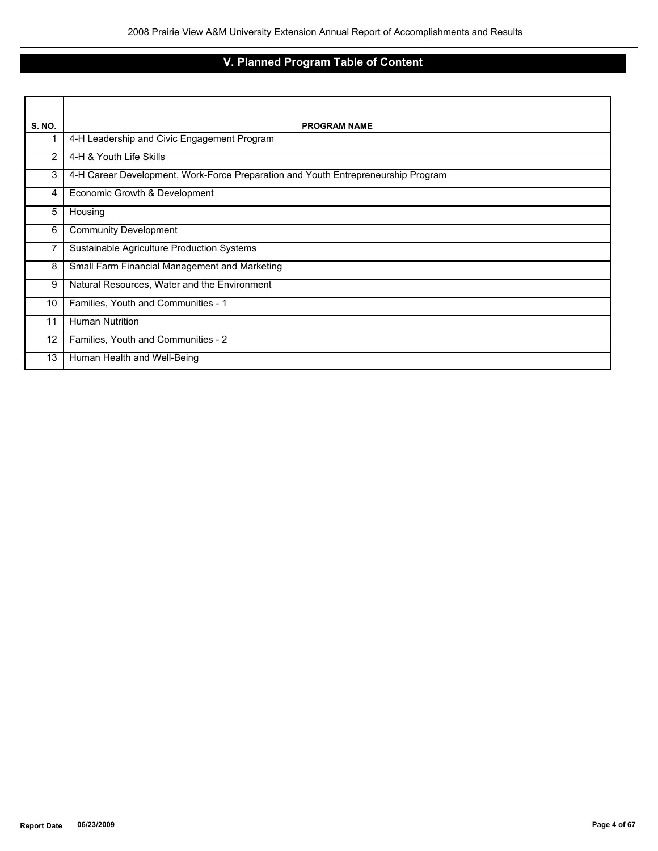# **V. Planned Program Table of Content**

| <b>S. NO.</b> | <b>PROGRAM NAME</b>                                                               |
|---------------|-----------------------------------------------------------------------------------|
|               | 4-H Leadership and Civic Engagement Program                                       |
| 2             | 4-H & Youth Life Skills                                                           |
| 3             | 4-H Career Development, Work-Force Preparation and Youth Entrepreneurship Program |
| 4             | Economic Growth & Development                                                     |
| 5             | Housing                                                                           |
| 6             | <b>Community Development</b>                                                      |
| 7             | Sustainable Agriculture Production Systems                                        |
| 8             | Small Farm Financial Management and Marketing                                     |
| 9             | Natural Resources, Water and the Environment                                      |
| 10            | Families, Youth and Communities - 1                                               |
| 11            | <b>Human Nutrition</b>                                                            |
| 12            | Families, Youth and Communities - 2                                               |
| 13            | Human Health and Well-Being                                                       |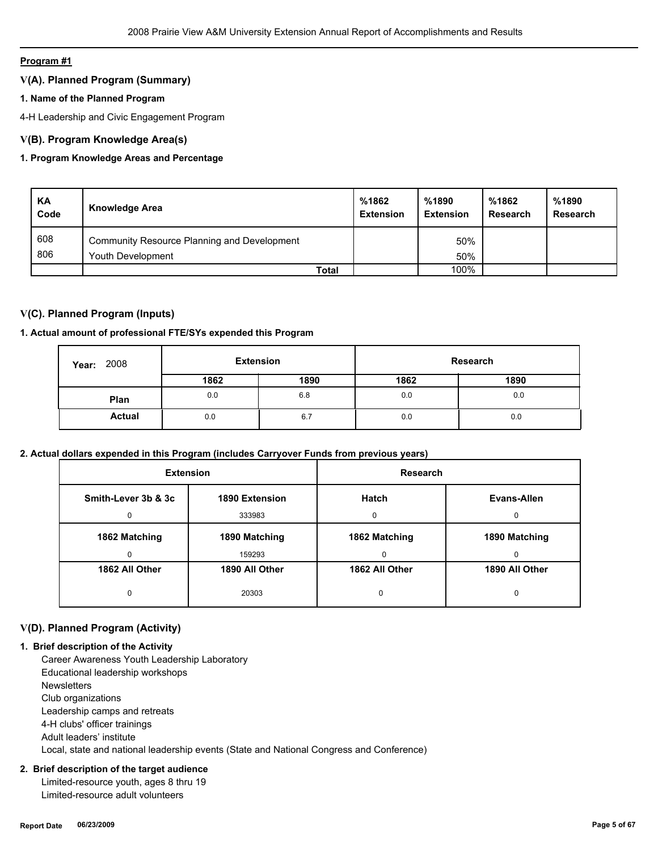# **Program #1**

# **V(A). Planned Program (Summary)**

# **1. Name of the Planned Program**

4-H Leadership and Civic Engagement Program

# **V(B). Program Knowledge Area(s)**

# **1. Program Knowledge Areas and Percentage**

| KA<br>Code | <b>Knowledge Area</b>                       | %1862<br><b>Extension</b> | %1890<br><b>Extension</b> | %1862<br><b>Research</b> | %1890<br>Research |
|------------|---------------------------------------------|---------------------------|---------------------------|--------------------------|-------------------|
| 608        | Community Resource Planning and Development |                           | 50%                       |                          |                   |
| 806        | Youth Development                           |                           | 50%                       |                          |                   |
|            | <b>Total</b>                                |                           | 100%                      |                          |                   |

# **V(C). Planned Program (Inputs)**

# **1. Actual amount of professional FTE/SYs expended this Program**

| 2008<br>Year: | <b>Extension</b> |      | Research |      |
|---------------|------------------|------|----------|------|
|               | 1862             | 1890 | 1862     | 1890 |
| Plan          | 0.0              | 6.8  | 0.0      | 0.0  |
| <b>Actual</b> | 0.0              | 6.7  | 0.0      | 0.0  |

# **2. Actual dollars expended in this Program (includes Carryover Funds from previous years)**

| <b>Extension</b>    |                | <b>Research</b> |                |
|---------------------|----------------|-----------------|----------------|
| Smith-Lever 3b & 3c | 1890 Extension | <b>Hatch</b>    | Evans-Allen    |
| $\Omega$            | 333983         | 0               | $\Omega$       |
| 1862 Matching       | 1890 Matching  | 1862 Matching   | 1890 Matching  |
| 0                   | 159293         | 0               | 0              |
| 1862 All Other      | 1890 All Other | 1862 All Other  | 1890 All Other |
| 0                   | 20303          | 0               | 0              |

# **V(D). Planned Program (Activity)**

#### **1. Brief description of the Activity**

 Career Awareness Youth Leadership Laboratory Educational leadership workshops **Newsletters**  Club organizations Leadership camps and retreats 4-H clubs' officer trainings Adult leaders' institute Local, state and national leadership events (State and National Congress and Conference)

# **2. Brief description of the target audience**

 Limited-resource youth, ages 8 thru 19 Limited-resource adult volunteers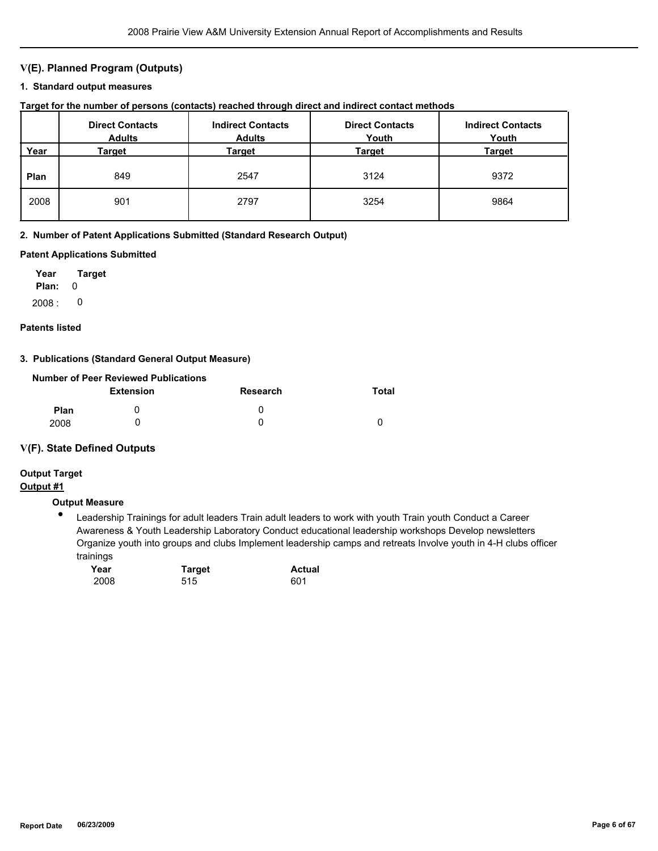# **V(E). Planned Program (Outputs)**

#### **1. Standard output measures**

| Target for the number of persons (contacts) reached through direct and indirect contact methods |  |  |  |  |  |  |
|-------------------------------------------------------------------------------------------------|--|--|--|--|--|--|
|-------------------------------------------------------------------------------------------------|--|--|--|--|--|--|

|      | <b>Direct Contacts</b><br><b>Adults</b> | <b>Indirect Contacts</b><br><b>Adults</b> | <b>Direct Contacts</b><br>Youth | <b>Indirect Contacts</b><br>Youth |
|------|-----------------------------------------|-------------------------------------------|---------------------------------|-----------------------------------|
| Year | Target                                  | Target                                    | Target                          | <b>Target</b>                     |
| Plan | 849                                     | 2547                                      | 3124                            | 9372                              |
| 2008 | 901                                     | 2797                                      | 3254                            | 9864                              |

#### **2. Number of Patent Applications Submitted (Standard Research Output)**

#### **Patent Applications Submitted**

**Plan:** 0 **Year Target**  $2008: 0$ 

# **Patents listed**

#### **3. Publications (Standard General Output Measure)**

|             | Number of Peer Reviewed Publications |              |       |
|-------------|--------------------------------------|--------------|-------|
|             | <b>Extension</b>                     | Research     | Total |
| <b>Plan</b> |                                      | $\mathbf{U}$ |       |
| 2008        |                                      |              |       |

#### **V(F). State Defined Outputs**

# **Output Target**

# **Output #1**

# **Output Measure**

● Leadership Trainings for adult leaders Train adult leaders to work with youth Train youth Conduct a Career Awareness & Youth Leadership Laboratory Conduct educational leadership workshops Develop newsletters Organize youth into groups and clubs Implement leadership camps and retreats Involve youth in 4-H clubs officer trainings

| Year | <b>Target</b> | <b>Actual</b> |  |
|------|---------------|---------------|--|
| 2008 | 515           | 601           |  |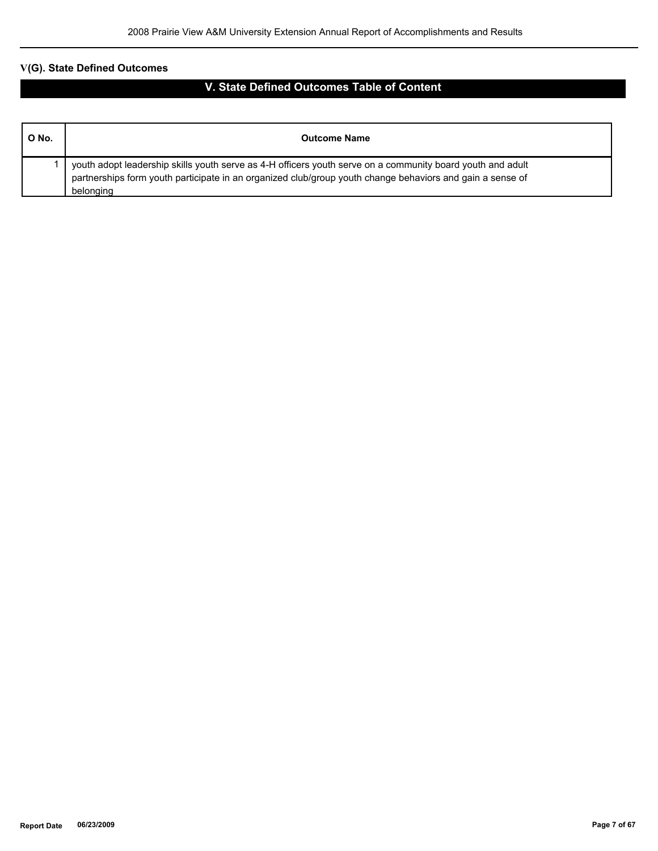# **V(G). State Defined Outcomes**

# **V. State Defined Outcomes Table of Content**

| O No. | <b>Outcome Name</b>                                                                                                                                                                                                                  |
|-------|--------------------------------------------------------------------------------------------------------------------------------------------------------------------------------------------------------------------------------------|
|       | youth adopt leadership skills youth serve as 4-H officers youth serve on a community board youth and adult<br>partnerships form youth participate in an organized club/group youth change behaviors and gain a sense of<br>belonging |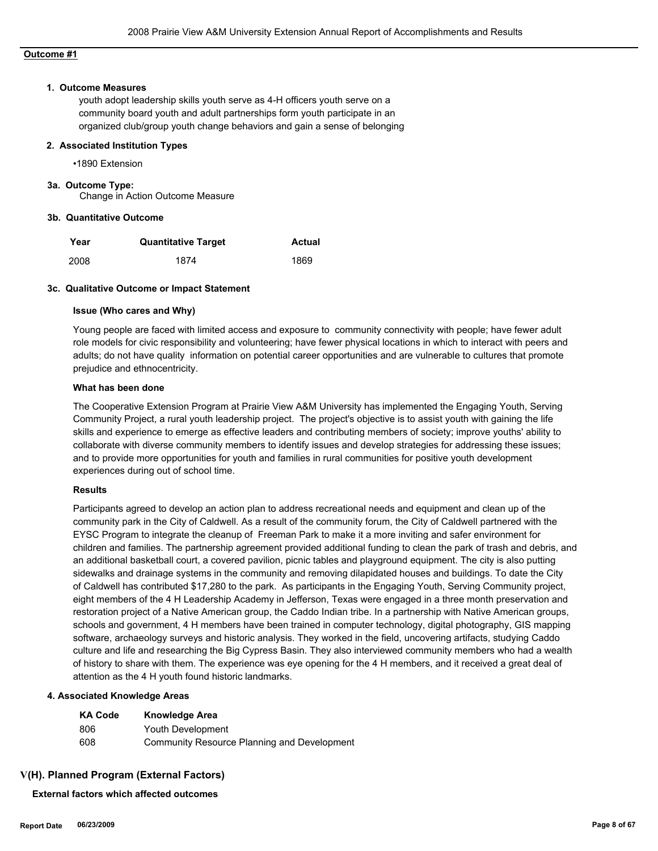#### **Outcome #1**

#### **1. Outcome Measures**

youth adopt leadership skills youth serve as 4-H officers youth serve on a community board youth and adult partnerships form youth participate in an organized club/group youth change behaviors and gain a sense of belonging

#### **2. Associated Institution Types**

•1890 Extension

#### **3a. Outcome Type:**

Change in Action Outcome Measure

#### **3b. Quantitative Outcome**

| Year | <b>Quantitative Target</b> | <b>Actual</b> |
|------|----------------------------|---------------|
| 2008 | 1874                       | 1869          |

#### **3c. Qualitative Outcome or Impact Statement**

#### **Issue (Who cares and Why)**

Young people are faced with limited access and exposure to community connectivity with people; have fewer adult role models for civic responsibility and volunteering; have fewer physical locations in which to interact with peers and adults; do not have quality information on potential career opportunities and are vulnerable to cultures that promote prejudice and ethnocentricity.

#### **What has been done**

The Cooperative Extension Program at Prairie View A&M University has implemented the Engaging Youth, Serving Community Project, a rural youth leadership project. The project's objective is to assist youth with gaining the life skills and experience to emerge as effective leaders and contributing members of society; improve youths' ability to collaborate with diverse community members to identify issues and develop strategies for addressing these issues; and to provide more opportunities for youth and families in rural communities for positive youth development experiences during out of school time.

#### **Results**

Participants agreed to develop an action plan to address recreational needs and equipment and clean up of the community park in the City of Caldwell. As a result of the community forum, the City of Caldwell partnered with the EYSC Program to integrate the cleanup of Freeman Park to make it a more inviting and safer environment for children and families. The partnership agreement provided additional funding to clean the park of trash and debris, and an additional basketball court, a covered pavilion, picnic tables and playground equipment. The city is also putting sidewalks and drainage systems in the community and removing dilapidated houses and buildings. To date the City of Caldwell has contributed \$17,280 to the park. As participants in the Engaging Youth, Serving Community project, eight members of the 4 H Leadership Academy in Jefferson, Texas were engaged in a three month preservation and restoration project of a Native American group, the Caddo Indian tribe. In a partnership with Native American groups, schools and government, 4 H members have been trained in computer technology, digital photography, GIS mapping software, archaeology surveys and historic analysis. They worked in the field, uncovering artifacts, studying Caddo culture and life and researching the Big Cypress Basin. They also interviewed community members who had a wealth of history to share with them. The experience was eye opening for the 4 H members, and it received a great deal of attention as the 4 H youth found historic landmarks.

#### **4. Associated Knowledge Areas**

| <b>KA Code</b> | <b>Knowledge Area</b>                       |
|----------------|---------------------------------------------|
| 806            | Youth Development                           |
| 608            | Community Resource Planning and Development |

#### **V(H). Planned Program (External Factors)**

**External factors which affected outcomes**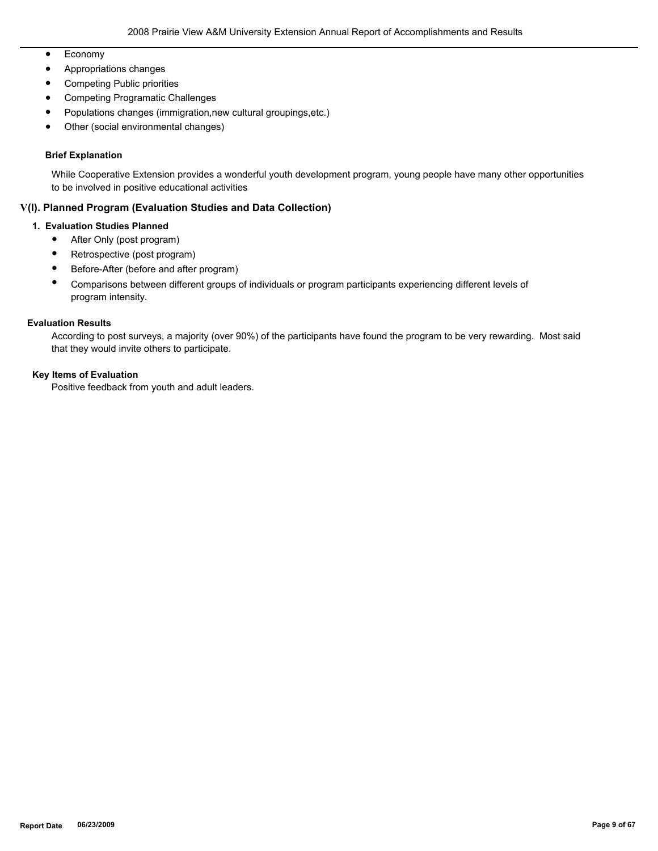- Economy
- Appropriations changes
- Competing Public priorities
- Competing Programatic Challenges
- Populations changes (immigration,new cultural groupings,etc.)
- Other (social environmental changes)

#### **Brief Explanation**

While Cooperative Extension provides a wonderful youth development program, young people have many other opportunities to be involved in positive educational activities

# **V(I). Planned Program (Evaluation Studies and Data Collection)**

#### **1. Evaluation Studies Planned**

- After Only (post program)
- Retrospective (post program)
- Before-After (before and after program)
- Comparisons between different groups of individuals or program participants experiencing different levels of program intensity.

#### **Evaluation Results**

According to post surveys, a majority (over 90%) of the participants have found the program to be very rewarding. Most said that they would invite others to participate.

#### **Key Items of Evaluation**

Positive feedback from youth and adult leaders.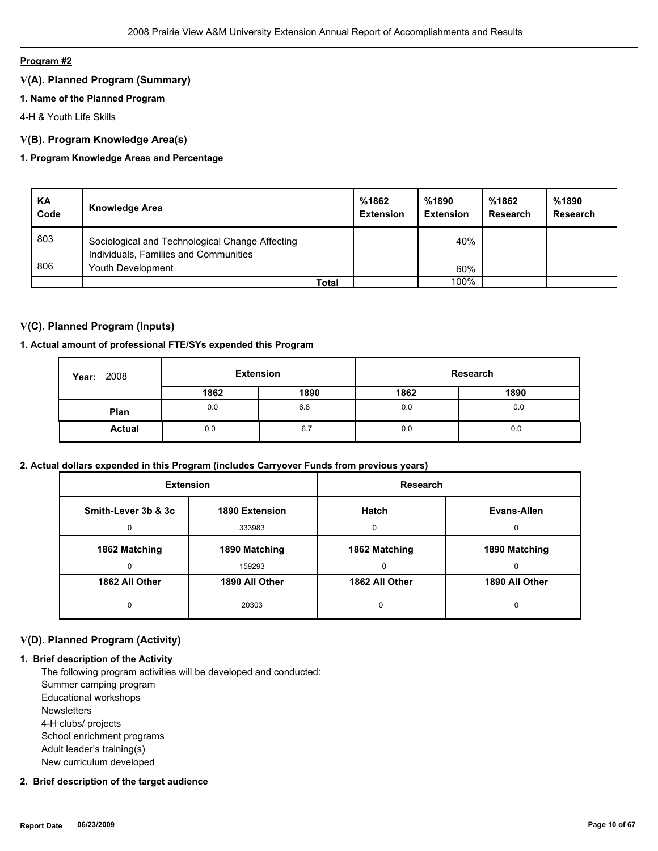# **Program #2**

# **V(A). Planned Program (Summary)**

# **1. Name of the Planned Program**

4-H & Youth Life Skills

# **V(B). Program Knowledge Area(s)**

# **1. Program Knowledge Areas and Percentage**

| ΚA<br>Code | <b>Knowledge Area</b>                                                                    | %1862<br><b>Extension</b> | %1890<br><b>Extension</b> | %1862<br>Research | %1890<br><b>Research</b> |
|------------|------------------------------------------------------------------------------------------|---------------------------|---------------------------|-------------------|--------------------------|
| 803        | Sociological and Technological Change Affecting<br>Individuals, Families and Communities |                           | 40%                       |                   |                          |
| 806        | Youth Development                                                                        |                           | 60%                       |                   |                          |
|            | Total                                                                                    |                           | 100%                      |                   |                          |

# **V(C). Planned Program (Inputs)**

# **1. Actual amount of professional FTE/SYs expended this Program**

| 2008<br>Year: |      | <b>Extension</b> |      | Research |
|---------------|------|------------------|------|----------|
|               | 1862 | 1890             | 1862 | 1890     |
| Plan          | 0.0  | 6.8              | 0.0  | 0.0      |
| <b>Actual</b> | 0.0  | 6.7              | 0.0  | 0.0      |

#### **2. Actual dollars expended in this Program (includes Carryover Funds from previous years)**

| <b>Extension</b>    |                | <b>Research</b> |                |
|---------------------|----------------|-----------------|----------------|
| Smith-Lever 3b & 3c | 1890 Extension | Hatch           | Evans-Allen    |
| 0                   | 333983         | U               | U              |
| 1862 Matching       | 1890 Matching  | 1862 Matching   | 1890 Matching  |
| O                   | 159293         | $\Omega$        |                |
| 1862 All Other      | 1890 All Other | 1862 All Other  | 1890 All Other |
| 0                   | 20303          | 0               | 0              |

# **V(D). Planned Program (Activity)**

#### **1. Brief description of the Activity**

 The following program activities will be developed and conducted: Summer camping program Educational workshops **Newsletters**  4-H clubs/ projects School enrichment programs Adult leader's training(s) New curriculum developed

# **2. Brief description of the target audience**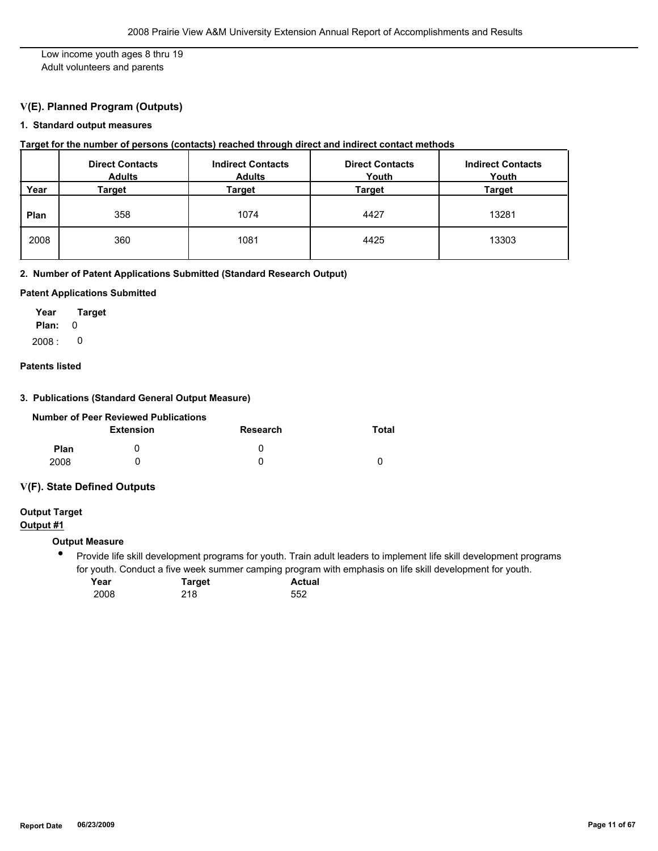Low income youth ages 8 thru 19 Adult volunteers and parents

# **V(E). Planned Program (Outputs)**

# **1. Standard output measures**

#### **Target for the number of persons (contacts) reached through direct and indirect contact methods**

|      | <b>Direct Contacts</b><br><b>Adults</b> | <b>Indirect Contacts</b><br><b>Adults</b> | <b>Direct Contacts</b><br>Youth | <b>Indirect Contacts</b><br>Youth |
|------|-----------------------------------------|-------------------------------------------|---------------------------------|-----------------------------------|
| Year | Target                                  | Target                                    | Target                          | <b>Target</b>                     |
| Plan | 358                                     | 1074                                      | 4427                            | 13281                             |
| 2008 | 360                                     | 1081                                      | 4425                            | 13303                             |

# **2. Number of Patent Applications Submitted (Standard Research Output)**

#### **Patent Applications Submitted**

**Plan:** 0 **Year Target**  $2008:0$ 

# **Patents listed**

# **3. Publications (Standard General Output Measure)**

|             | <b>Number of Peer Reviewed Publications</b> |          |       |
|-------------|---------------------------------------------|----------|-------|
|             | <b>Extension</b>                            | Research | Total |
| <b>Plan</b> |                                             |          |       |
| 2008        |                                             |          |       |

#### **V(F). State Defined Outputs**

# **Output Target**

**Output #1**

### **Output Measure**

 $\bullet$ Provide life skill development programs for youth. Train adult leaders to implement life skill development programs for youth. Conduct a five week summer camping program with emphasis on life skill development for youth.

| Year | Target | <b>Actual</b> |
|------|--------|---------------|
| 2008 | 218    | 552           |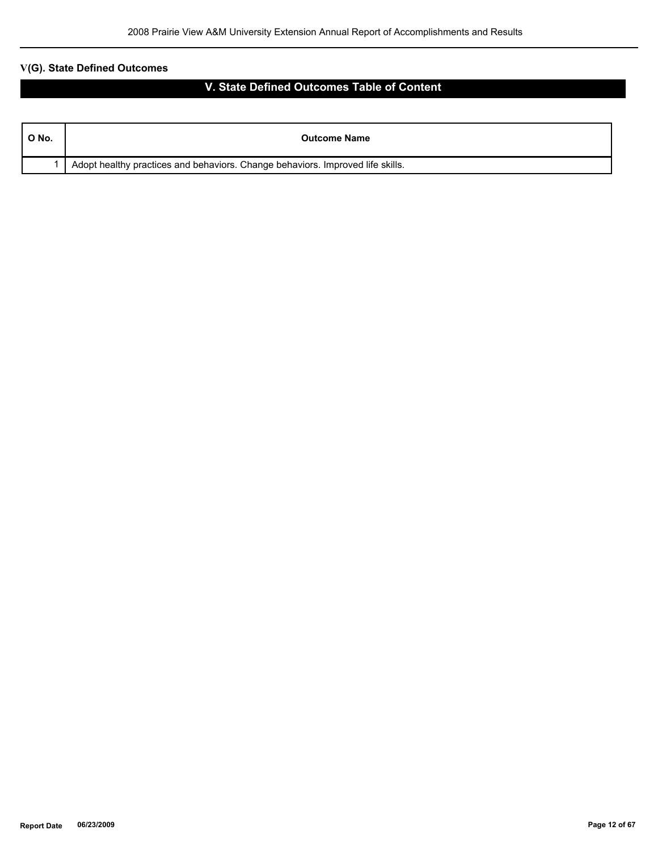# **V(G). State Defined Outcomes**

# **V. State Defined Outcomes Table of Content**

| ONo. | <b>Outcome Name</b>                                                            |
|------|--------------------------------------------------------------------------------|
|      | Adopt healthy practices and behaviors. Change behaviors. Improved life skills. |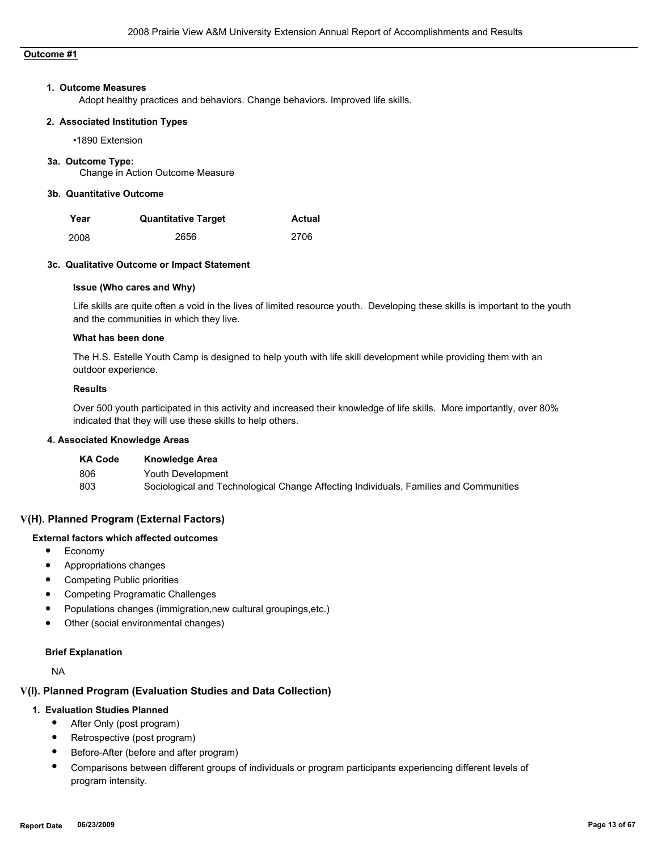# **Outcome #1**

#### **1. Outcome Measures**

Adopt healthy practices and behaviors. Change behaviors. Improved life skills.

#### **2. Associated Institution Types**

•1890 Extension

#### **3a. Outcome Type:**

Change in Action Outcome Measure

# **3b. Quantitative Outcome**

| Year | <b>Quantitative Target</b> | <b>Actual</b> |
|------|----------------------------|---------------|
| 2008 | 2656                       | 2706          |

#### **3c. Qualitative Outcome or Impact Statement**

# **Issue (Who cares and Why)**

Life skills are quite often a void in the lives of limited resource youth. Developing these skills is important to the youth and the communities in which they live.

#### **What has been done**

The H.S. Estelle Youth Camp is designed to help youth with life skill development while providing them with an outdoor experience.

#### **Results**

Over 500 youth participated in this activity and increased their knowledge of life skills. More importantly, over 80% indicated that they will use these skills to help others.

# **4. Associated Knowledge Areas**

| <b>KA Code</b> | <b>Knowledge Area</b>                                                                 |
|----------------|---------------------------------------------------------------------------------------|
| 806            | Youth Development                                                                     |
| 803            | Sociological and Technological Change Affecting Individuals, Families and Communities |

#### **V(H). Planned Program (External Factors)**

#### **External factors which affected outcomes**

- Economy
- Appropriations changes
- Competing Public priorities
- Competing Programatic Challenges
- Populations changes (immigration,new cultural groupings,etc.)
- Other (social environmental changes)

#### **Brief Explanation**

NA

# **V(I). Planned Program (Evaluation Studies and Data Collection)**

#### **1. Evaluation Studies Planned**

- After Only (post program)
- Retrospective (post program)
- Before-After (before and after program)
- Comparisons between different groups of individuals or program participants experiencing different levels of program intensity.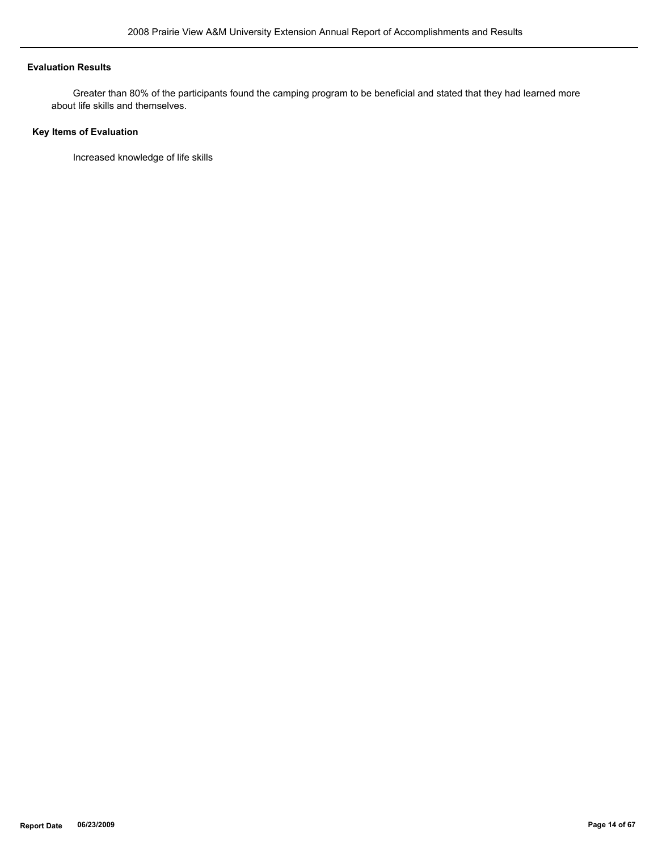# **Evaluation Results**

 Greater than 80% of the participants found the camping program to be beneficial and stated that they had learned more about life skills and themselves.

# **Key Items of Evaluation**

Increased knowledge of life skills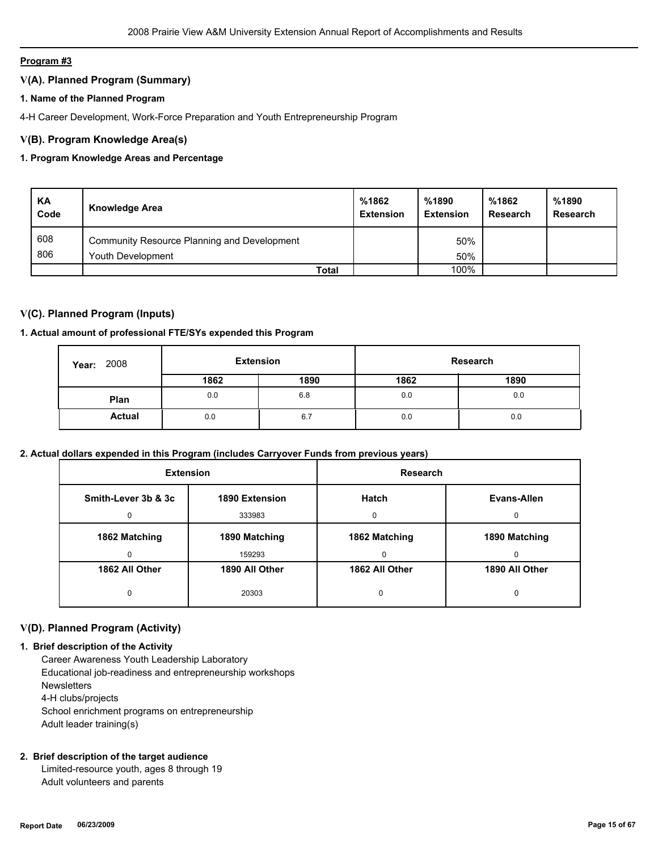# **Program #3**

# **V(A). Planned Program (Summary)**

# **1. Name of the Planned Program**

4-H Career Development, Work-Force Preparation and Youth Entrepreneurship Program

# **V(B). Program Knowledge Area(s)**

# **1. Program Knowledge Areas and Percentage**

| KA<br>Code | <b>Knowledge Area</b>                       | %1862<br><b>Extension</b> | %1890<br><b>Extension</b> | %1862<br><b>Research</b> | %1890<br><b>Research</b> |
|------------|---------------------------------------------|---------------------------|---------------------------|--------------------------|--------------------------|
| 608<br>806 | Community Resource Planning and Development |                           | 50%                       |                          |                          |
|            | Youth Development                           |                           | 50%                       |                          |                          |
|            | Total                                       |                           | 100%                      |                          |                          |

# **V(C). Planned Program (Inputs)**

# **1. Actual amount of professional FTE/SYs expended this Program**

| 2008<br>Year: | <b>Extension</b> |      | Research |      |  |
|---------------|------------------|------|----------|------|--|
|               | 1862             | 1890 | 1862     | 1890 |  |
| Plan          | 0.0              | 6.8  | 0.0      | 0.0  |  |
| <b>Actual</b> | 0.0              | 6.7  | 0.0      | 0.0  |  |

#### **2. Actual dollars expended in this Program (includes Carryover Funds from previous years)**

| <b>Extension</b>                      |                | Research       |                |  |
|---------------------------------------|----------------|----------------|----------------|--|
| Smith-Lever 3b & 3c<br>1890 Extension |                | <b>Hatch</b>   | Evans-Allen    |  |
| $\Omega$                              | 333983         | <sup>0</sup>   | $\Omega$       |  |
| 1862 Matching                         | 1890 Matching  | 1862 Matching  | 1890 Matching  |  |
| 0                                     | 159293         | 0              | 0              |  |
| 1862 All Other                        | 1890 All Other | 1862 All Other | 1890 All Other |  |
| 0                                     | 20303          | 0              | 0              |  |

# **V(D). Planned Program (Activity)**

#### **1. Brief description of the Activity**

 Career Awareness Youth Leadership Laboratory Educational job-readiness and entrepreneurship workshops **Newsletters**  4-H clubs/projects School enrichment programs on entrepreneurship Adult leader training(s)

### **2. Brief description of the target audience**

 Limited-resource youth, ages 8 through 19 Adult volunteers and parents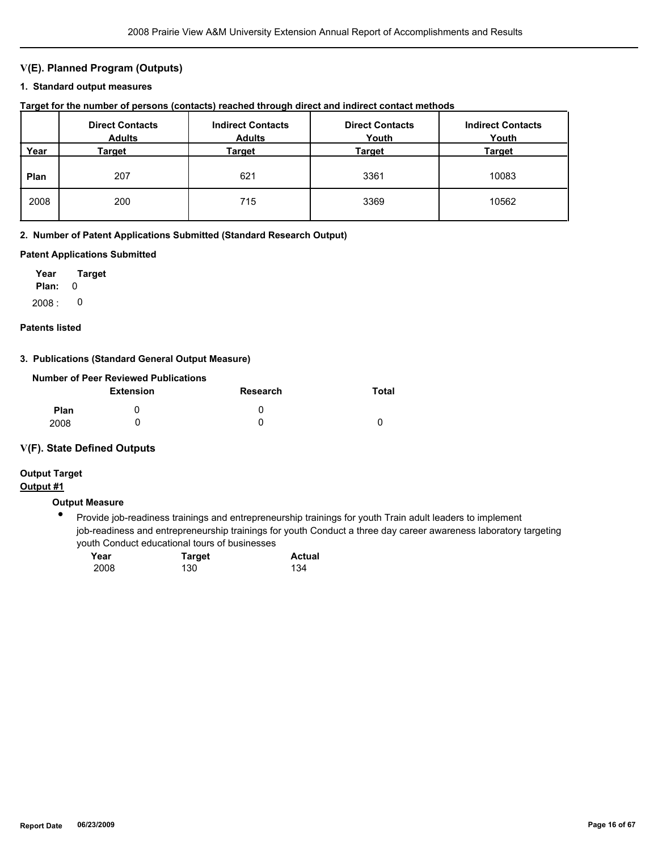# **V(E). Planned Program (Outputs)**

#### **1. Standard output measures**

| Target for the number of persons (contacts) reached through direct and indirect contact methods |  |  |  |  |  |  |
|-------------------------------------------------------------------------------------------------|--|--|--|--|--|--|
|-------------------------------------------------------------------------------------------------|--|--|--|--|--|--|

|      | <b>Direct Contacts</b><br><b>Adults</b> | <b>Indirect Contacts</b><br><b>Adults</b> | <b>Direct Contacts</b><br>Youth | <b>Indirect Contacts</b><br>Youth |
|------|-----------------------------------------|-------------------------------------------|---------------------------------|-----------------------------------|
| Year | Target                                  | Target                                    | <b>Target</b>                   | <b>Target</b>                     |
| Plan | 207                                     | 621                                       | 3361                            | 10083                             |
| 2008 | 200                                     | 715                                       | 3369                            | 10562                             |

#### **2. Number of Patent Applications Submitted (Standard Research Output)**

#### **Patent Applications Submitted**

**Plan:** 0 **Year Target**  $2008: 0$ 

#### **Patents listed**

# **3. Publications (Standard General Output Measure)**

|             | Number of Peer Reviewed Publications |          |       |
|-------------|--------------------------------------|----------|-------|
|             | <b>Extension</b>                     | Research | Total |
| <b>Plan</b> |                                      | O        |       |
| 2008        |                                      |          |       |

# **V(F). State Defined Outputs**

# **Output Target**

# **Output #1**

# **Output Measure**

● Provide job-readiness trainings and entrepreneurship trainings for youth Train adult leaders to implement job-readiness and entrepreneurship trainings for youth Conduct a three day career awareness laboratory targeting youth Conduct educational tours of businesses

| Year | <b>Target</b> | <b>Actual</b> |
|------|---------------|---------------|
| 2008 | 130           | 134           |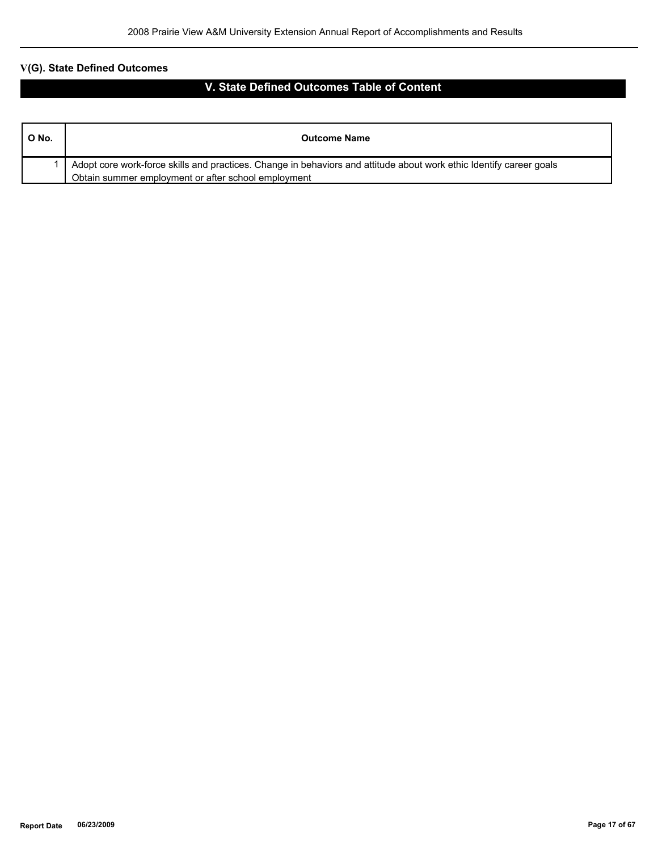# **V(G). State Defined Outcomes**

# **V. State Defined Outcomes Table of Content**

| O No. | <b>Outcome Name</b>                                                                                                 |
|-------|---------------------------------------------------------------------------------------------------------------------|
|       | Adopt core work-force skills and practices. Change in behaviors and attitude about work ethic Identify career goals |
|       | Obtain summer employment or after school employment                                                                 |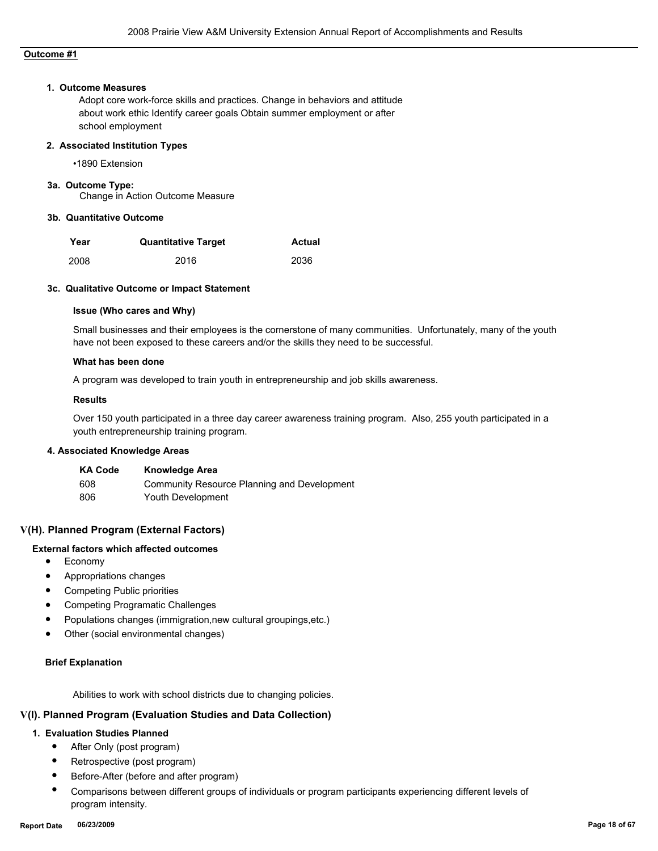# **Outcome #1**

#### **1. Outcome Measures**

Adopt core work-force skills and practices. Change in behaviors and attitude about work ethic Identify career goals Obtain summer employment or after school employment

#### **2. Associated Institution Types**

•1890 Extension

#### **3a. Outcome Type:**

Change in Action Outcome Measure

#### **3b. Quantitative Outcome**

| Year | <b>Quantitative Target</b> | <b>Actual</b> |
|------|----------------------------|---------------|
| 2008 | 2016                       | 2036          |

#### **3c. Qualitative Outcome or Impact Statement**

#### **Issue (Who cares and Why)**

Small businesses and their employees is the cornerstone of many communities. Unfortunately, many of the youth have not been exposed to these careers and/or the skills they need to be successful.

#### **What has been done**

A program was developed to train youth in entrepreneurship and job skills awareness.

#### **Results**

Over 150 youth participated in a three day career awareness training program. Also, 255 youth participated in a youth entrepreneurship training program.

#### **4. Associated Knowledge Areas**

| <b>KA Code</b> | <b>Knowledge Area</b>                       |
|----------------|---------------------------------------------|
| 608            | Community Resource Planning and Development |
| 806            | Youth Development                           |

# **V(H). Planned Program (External Factors)**

# **External factors which affected outcomes**

- Economy
- Appropriations changes
- Competing Public priorities
- Competing Programatic Challenges
- Populations changes (immigration,new cultural groupings,etc.)
- Other (social environmental changes)

#### **Brief Explanation**

Abilities to work with school districts due to changing policies.

# **V(I). Planned Program (Evaluation Studies and Data Collection)**

# **1. Evaluation Studies Planned**

- After Only (post program)
- Retrospective (post program)
- Before-After (before and after program)
- Comparisons between different groups of individuals or program participants experiencing different levels of program intensity.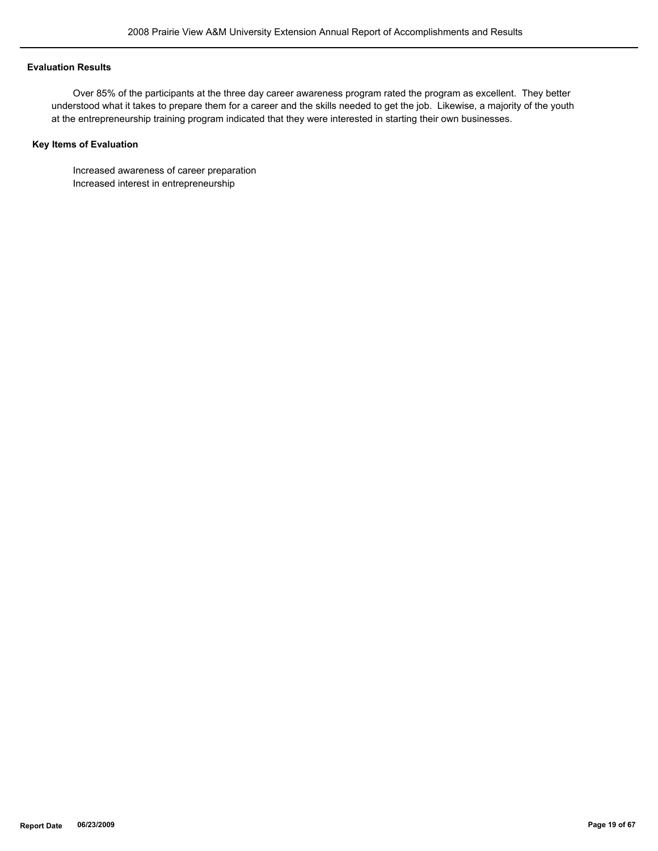### **Evaluation Results**

 Over 85% of the participants at the three day career awareness program rated the program as excellent. They better understood what it takes to prepare them for a career and the skills needed to get the job. Likewise, a majority of the youth at the entrepreneurship training program indicated that they were interested in starting their own businesses.

# **Key Items of Evaluation**

 Increased awareness of career preparation Increased interest in entrepreneurship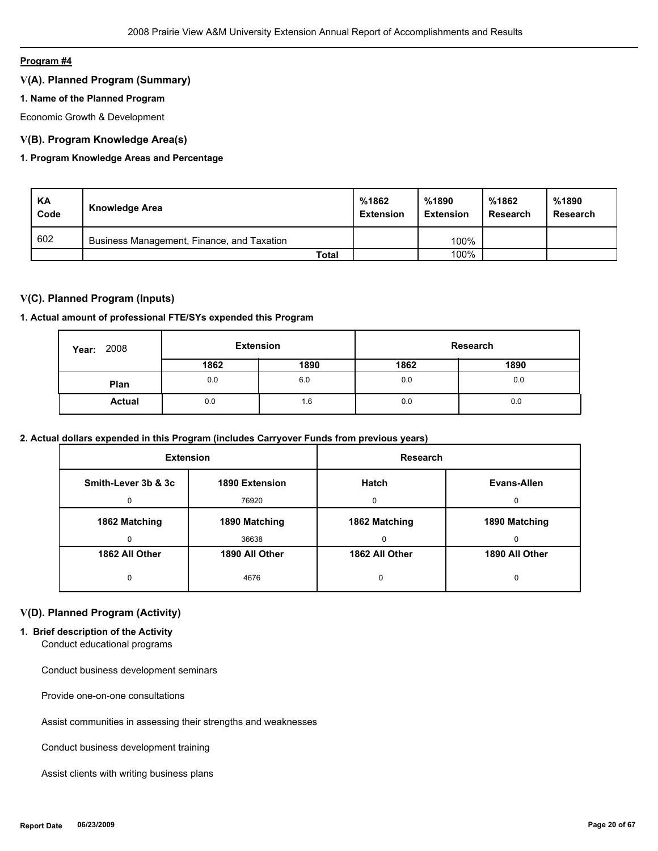#### **Program #4**

# **V(A). Planned Program (Summary)**

# **1. Name of the Planned Program**

Economic Growth & Development

# **V(B). Program Knowledge Area(s)**

# **1. Program Knowledge Areas and Percentage**

| KA<br>Code | Knowledge Area                             | %1862<br><b>Extension</b> | %1890<br><b>Extension</b> | %1862<br>Research | %1890<br>Research |
|------------|--------------------------------------------|---------------------------|---------------------------|-------------------|-------------------|
| 602        | Business Management, Finance, and Taxation |                           | 100%                      |                   |                   |
|            | Total                                      |                           | 100%                      |                   |                   |

# **V(C). Planned Program (Inputs)**

# **1. Actual amount of professional FTE/SYs expended this Program**

| 2008<br>Year: | <b>Extension</b> |      |      | Research |
|---------------|------------------|------|------|----------|
|               | 1862             | 1890 | 1862 | 1890     |
| Plan          | 0.0              | 6.0  | 0.0  | 0.0      |
| <b>Actual</b> | 0.0              | 1.6  | 0.0  | 0.0      |

# **2. Actual dollars expended in this Program (includes Carryover Funds from previous years)**

| <b>Extension</b>                      |                | <b>Research</b> |                |
|---------------------------------------|----------------|-----------------|----------------|
| Smith-Lever 3b & 3c<br>1890 Extension |                | Hatch           | Evans-Allen    |
| $\Omega$                              | 76920          | $\Omega$        | 0              |
| 1862 Matching                         | 1890 Matching  | 1862 Matching   | 1890 Matching  |
| 0                                     | 36638          | $\Omega$        | 0              |
| 1862 All Other                        | 1890 All Other | 1862 All Other  | 1890 All Other |
| 0                                     | 4676           | 0               | 0              |

# **V(D). Planned Program (Activity)**

# **1. Brief description of the Activity**

Conduct educational programs

Conduct business development seminars

Provide one-on-one consultations

Assist communities in assessing their strengths and weaknesses

Conduct business development training

Assist clients with writing business plans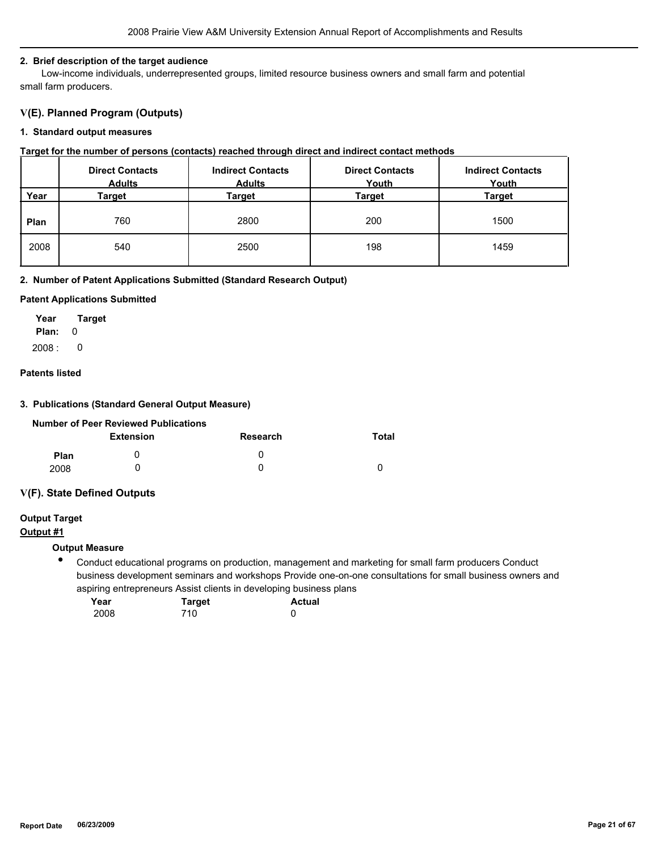#### **2. Brief description of the target audience**

 Low-income individuals, underrepresented groups, limited resource business owners and small farm and potential small farm producers.

# **V(E). Planned Program (Outputs)**

#### **1. Standard output measures**

#### **Target for the number of persons (contacts) reached through direct and indirect contact methods**

|      | <b>Direct Contacts</b><br><b>Adults</b> | <b>Indirect Contacts</b><br><b>Adults</b> | <b>Direct Contacts</b><br>Youth | <b>Indirect Contacts</b><br>Youth |
|------|-----------------------------------------|-------------------------------------------|---------------------------------|-----------------------------------|
| Year | Target                                  | Target                                    | Target                          | Target                            |
| Plan | 760                                     | 2800                                      | 200                             | 1500                              |
| 2008 | 540                                     | 2500                                      | 198                             | 1459                              |

#### **2. Number of Patent Applications Submitted (Standard Research Output)**

#### **Patent Applications Submitted**

**Plan:** 0 **Year Target**  $2008:0$ 

# **Patents listed**

### **3. Publications (Standard General Output Measure)**

|             | Number of Peer Reviewed Publications |              |       |
|-------------|--------------------------------------|--------------|-------|
|             | <b>Extension</b>                     | Research     | Total |
| <b>Plan</b> |                                      | $\mathbf{I}$ |       |
| 2008        |                                      |              |       |

# **V(F). State Defined Outputs**

# **Output Target**

# **Output #1**

# **Output Measure**

 $\bullet$ Conduct educational programs on production, management and marketing for small farm producers Conduct business development seminars and workshops Provide one-on-one consultations for small business owners and aspiring entrepreneurs Assist clients in developing business plans

| Year | <b>Target</b> | <b>Actual</b> |
|------|---------------|---------------|
| 2008 | 710           |               |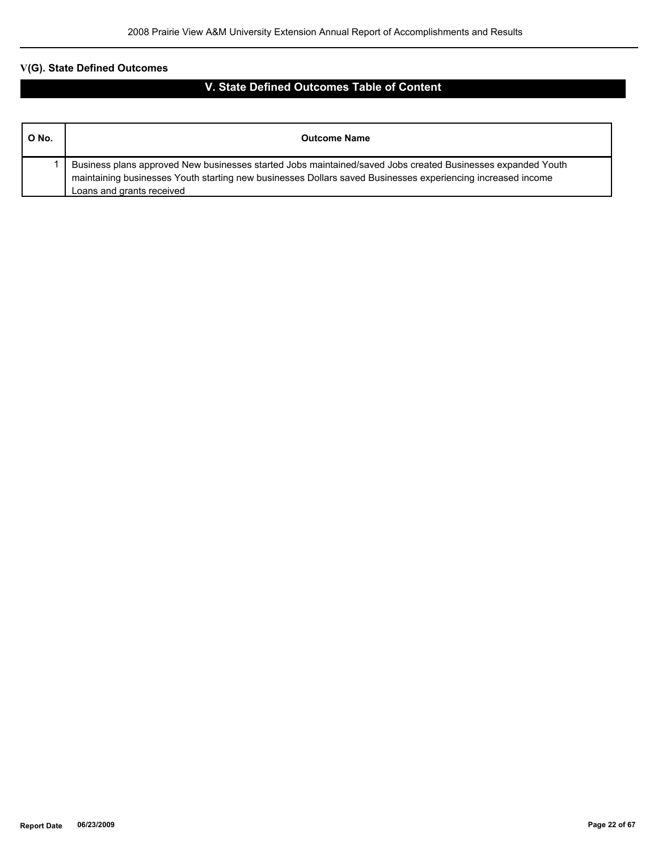# **V(G). State Defined Outcomes**

# **V. State Defined Outcomes Table of Content**

| O No. | <b>Outcome Name</b>                                                                                                                                                                                                                                     |
|-------|---------------------------------------------------------------------------------------------------------------------------------------------------------------------------------------------------------------------------------------------------------|
|       | Business plans approved New businesses started Jobs maintained/saved Jobs created Businesses expanded Youth<br>maintaining businesses Youth starting new businesses Dollars saved Businesses experiencing increased income<br>Loans and grants received |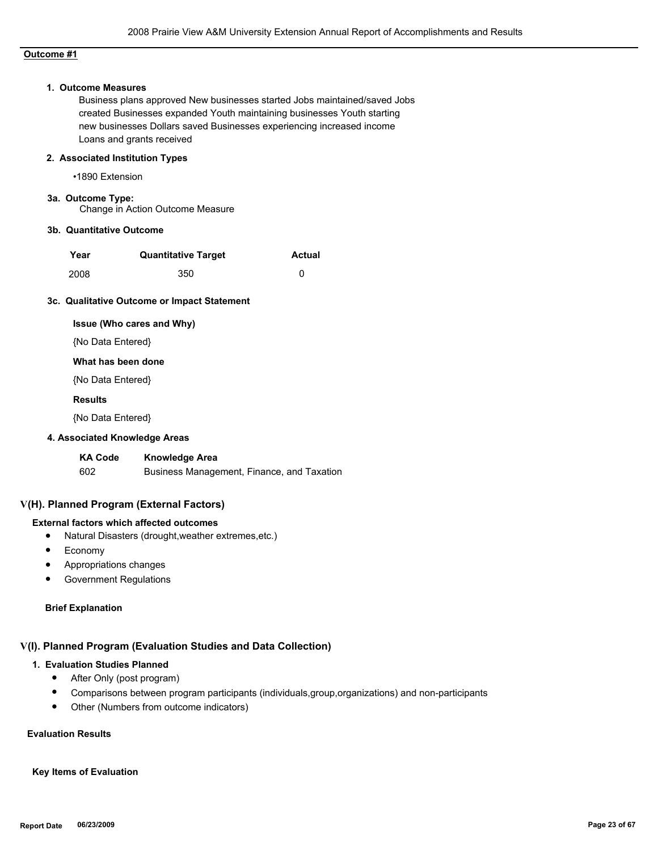# **Outcome #1**

#### **1. Outcome Measures**

Business plans approved New businesses started Jobs maintained/saved Jobs created Businesses expanded Youth maintaining businesses Youth starting new businesses Dollars saved Businesses experiencing increased income Loans and grants received

#### **2. Associated Institution Types**

•1890 Extension

# **3a. Outcome Type:**

Change in Action Outcome Measure

#### **3b. Quantitative Outcome**

| Year | <b>Quantitative Target</b> | <b>Actual</b> |
|------|----------------------------|---------------|
| 2008 | 350                        |               |

#### **3c. Qualitative Outcome or Impact Statement**

#### **Issue (Who cares and Why)**

{No Data Entered}

### **What has been done**

{No Data Entered}

#### **Results**

{No Data Entered}

#### **4. Associated Knowledge Areas**

**KA Code Knowledge Area** 602 Business Management, Finance, and Taxation

#### **V(H). Planned Program (External Factors)**

#### **External factors which affected outcomes**

- Natural Disasters (drought,weather extremes,etc.)
- Economy
- Appropriations changes
- Government Regulations

#### **Brief Explanation**

# **V(I). Planned Program (Evaluation Studies and Data Collection)**

# **1. Evaluation Studies Planned**

- After Only (post program)
- Comparisons between program participants (individuals,group,organizations) and non-participants
- Other (Numbers from outcome indicators)

# **Evaluation Results**

# **Key Items of Evaluation**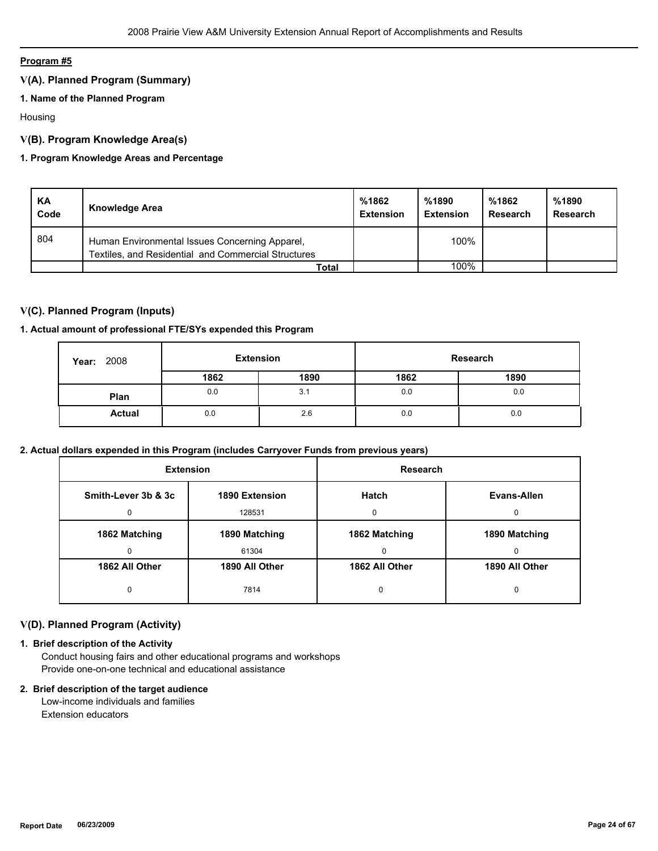# **Program #5**

# **V(A). Planned Program (Summary)**

# **1. Name of the Planned Program**

Housing

# **V(B). Program Knowledge Area(s)**

# **1. Program Knowledge Areas and Percentage**

| KA<br>Code | Knowledge Area                                                                                        | %1862<br><b>Extension</b> | %1890<br><b>Extension</b> | %1862<br>Research | %1890<br>Research |
|------------|-------------------------------------------------------------------------------------------------------|---------------------------|---------------------------|-------------------|-------------------|
| 804        | Human Environmental Issues Concerning Apparel,<br>Textiles, and Residential and Commercial Structures |                           | 100%                      |                   |                   |
|            | Total                                                                                                 |                           | 100%                      |                   |                   |

# **V(C). Planned Program (Inputs)**

# **1. Actual amount of professional FTE/SYs expended this Program**

| <b>Year: 2008</b> | <b>Extension</b> |      |      | Research |
|-------------------|------------------|------|------|----------|
|                   | 1862             | 1890 | 1862 | 1890     |
| Plan              | 0.0              | 3.1  | 0.0  | 0.0      |
| <b>Actual</b>     | 0.0              | 2.6  | 0.0  | 0.0      |

# **2. Actual dollars expended in this Program (includes Carryover Funds from previous years)**

| <b>Extension</b>    |                | <b>Research</b> |                |
|---------------------|----------------|-----------------|----------------|
| Smith-Lever 3b & 3c | 1890 Extension |                 | Evans-Allen    |
| 0                   | 128531         | $\Omega$        | 0              |
| 1862 Matching       | 1890 Matching  | 1862 Matching   | 1890 Matching  |
| 0                   | 61304          | 0               | 0              |
| 1862 All Other      | 1890 All Other | 1862 All Other  | 1890 All Other |
| 0                   | 7814           | 0               | 0              |

# **V(D). Planned Program (Activity)**

# **1. Brief description of the Activity**

 Conduct housing fairs and other educational programs and workshops Provide one-on-one technical and educational assistance

#### **2. Brief description of the target audience**

 Low-income individuals and families Extension educators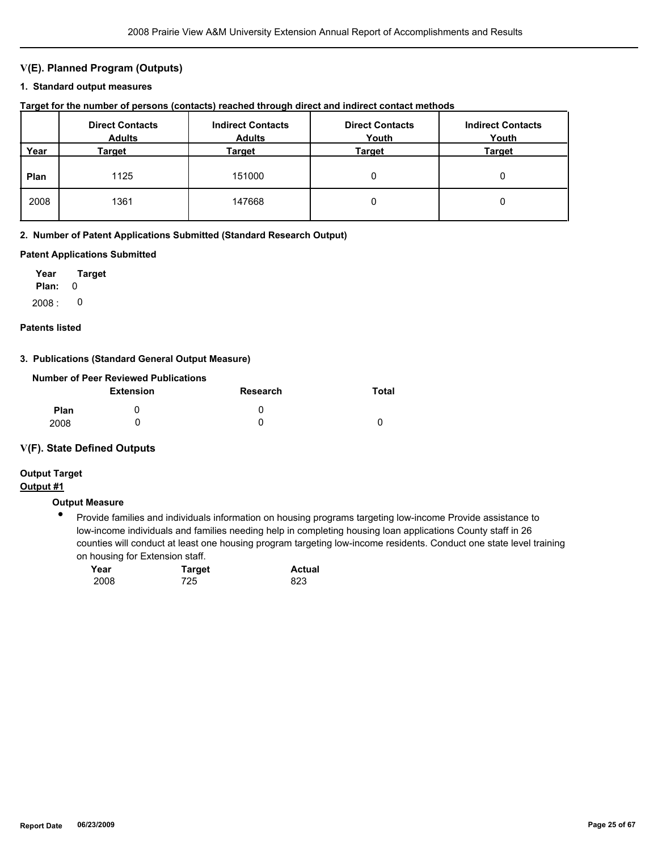# **V(E). Planned Program (Outputs)**

#### **1. Standard output measures**

|  |  |  |  |  | Target for the number of persons (contacts) reached through direct and indirect contact methods |  |
|--|--|--|--|--|-------------------------------------------------------------------------------------------------|--|
|--|--|--|--|--|-------------------------------------------------------------------------------------------------|--|

|      | <b>Direct Contacts</b><br><b>Adults</b> | <b>Indirect Contacts</b><br><b>Adults</b> | <b>Direct Contacts</b><br>Youth | <b>Indirect Contacts</b><br>Youth |
|------|-----------------------------------------|-------------------------------------------|---------------------------------|-----------------------------------|
| Year | Target                                  | Target                                    | Target                          | Target                            |
| Plan | 1125                                    | 151000                                    | 0                               |                                   |
| 2008 | 1361                                    | 147668                                    | 0                               |                                   |

#### **2. Number of Patent Applications Submitted (Standard Research Output)**

#### **Patent Applications Submitted**

**Plan:** 0 **Year Target**  $2008: 0$ 

#### **Patents listed**

#### **3. Publications (Standard General Output Measure)**

|             | Number of Peer Reviewed Publications |          |          |
|-------------|--------------------------------------|----------|----------|
|             | <b>Extension</b>                     | Research | Total    |
| <b>Plan</b> |                                      | O        |          |
| 2008        |                                      |          | $\Omega$ |

#### **V(F). State Defined Outputs**

# **Output Target**

# **Output #1**

# **Output Measure**

● Provide families and individuals information on housing programs targeting low-income Provide assistance to low-income individuals and families needing help in completing housing loan applications County staff in 26 counties will conduct at least one housing program targeting low-income residents. Conduct one state level training on housing for Extension staff.

| Year | <b>Target</b> | <b>Actual</b> |  |
|------|---------------|---------------|--|
| 2008 | 725           | 823           |  |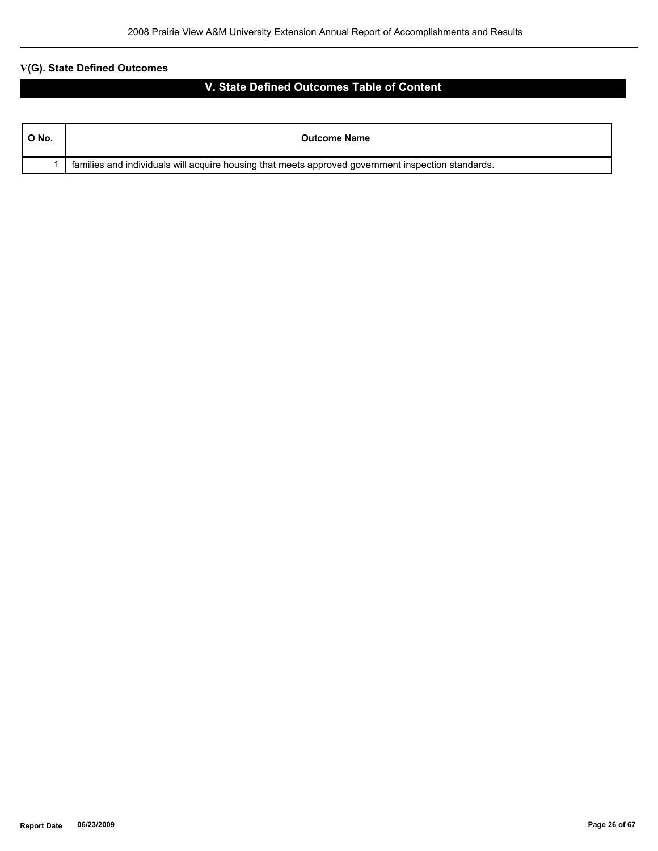# **V(G). State Defined Outcomes**

# **V. State Defined Outcomes Table of Content**

| ONo. | <b>Outcome Name</b>                                                                                |
|------|----------------------------------------------------------------------------------------------------|
|      | families and individuals will acquire housing that meets approved government inspection standards. |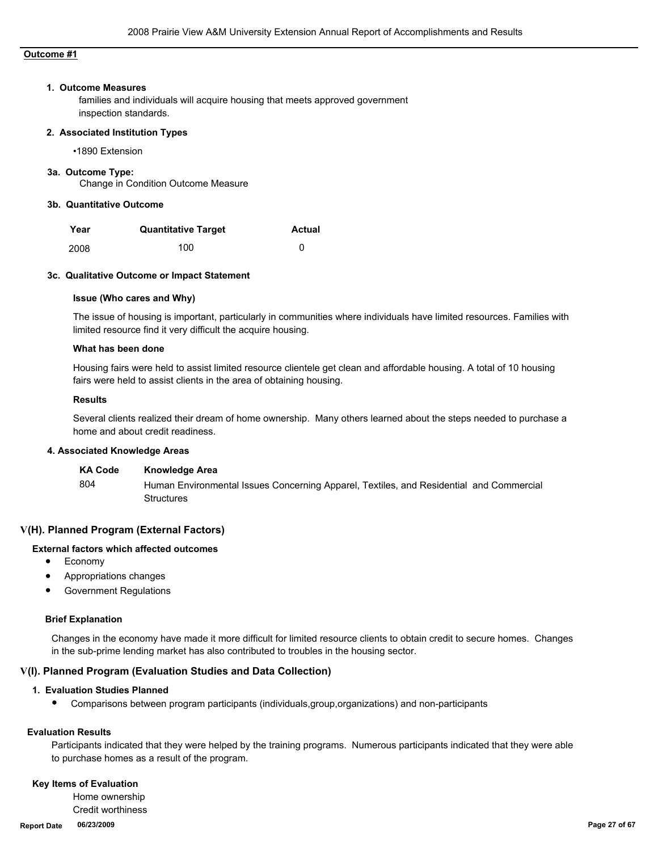# **Outcome #1**

#### **1. Outcome Measures**

families and individuals will acquire housing that meets approved government inspection standards.

#### **2. Associated Institution Types**

•1890 Extension

#### **3a. Outcome Type:**

Change in Condition Outcome Measure

#### **3b. Quantitative Outcome**

| Year | <b>Quantitative Target</b> | <b>Actual</b> |
|------|----------------------------|---------------|
| 2008 | 100                        |               |

#### **3c. Qualitative Outcome or Impact Statement**

#### **Issue (Who cares and Why)**

The issue of housing is important, particularly in communities where individuals have limited resources. Families with limited resource find it very difficult the acquire housing.

#### **What has been done**

Housing fairs were held to assist limited resource clientele get clean and affordable housing. A total of 10 housing fairs were held to assist clients in the area of obtaining housing.

#### **Results**

Several clients realized their dream of home ownership. Many others learned about the steps needed to purchase a home and about credit readiness.

#### **4. Associated Knowledge Areas**

| <b>KA Code</b> | Knowledge Area                                                                                               |
|----------------|--------------------------------------------------------------------------------------------------------------|
| -804           | Human Environmental Issues Concerning Apparel, Textiles, and Residential and Commercial<br><b>Structures</b> |

### **V(H). Planned Program (External Factors)**

# **External factors which affected outcomes**

- Economy
- Appropriations changes
- **Government Regulations**

#### **Brief Explanation**

Changes in the economy have made it more difficult for limited resource clients to obtain credit to secure homes. Changes in the sub-prime lending market has also contributed to troubles in the housing sector.

#### **V(I). Planned Program (Evaluation Studies and Data Collection)**

#### **1. Evaluation Studies Planned**

● Comparisons between program participants (individuals,group,organizations) and non-participants

# **Evaluation Results**

Participants indicated that they were helped by the training programs. Numerous participants indicated that they were able to purchase homes as a result of the program.

#### **Key Items of Evaluation**

 Home ownership Credit worthiness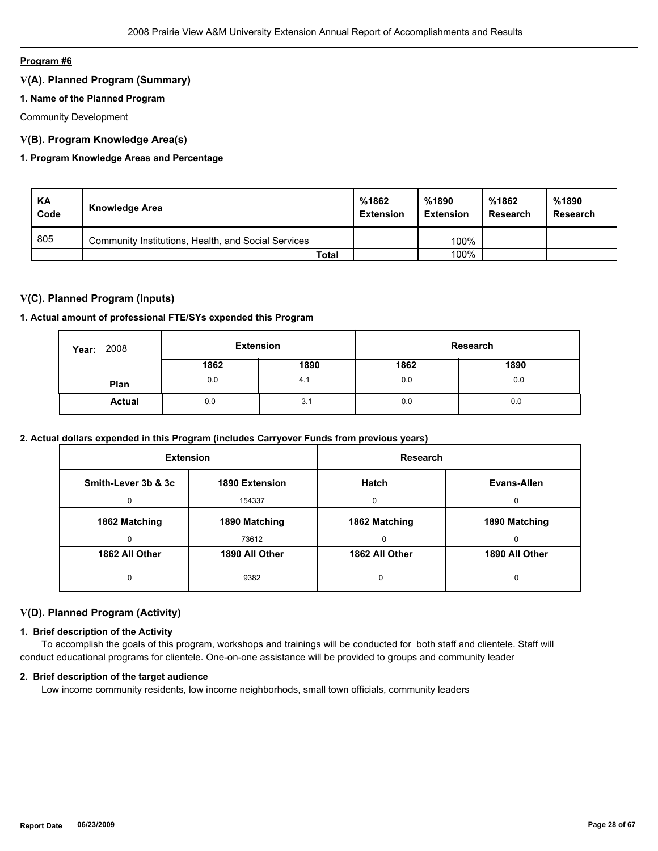# **Program #6**

# **V(A). Planned Program (Summary)**

# **1. Name of the Planned Program**

Community Development

# **V(B). Program Knowledge Area(s)**

# **1. Program Knowledge Areas and Percentage**

| KA<br>Code | Knowledge Area                                      | %1862<br><b>Extension</b> | %1890<br><b>Extension</b> | %1862<br>Research | %1890<br>Research |
|------------|-----------------------------------------------------|---------------------------|---------------------------|-------------------|-------------------|
| 805        | Community Institutions, Health, and Social Services |                           | 100%                      |                   |                   |
|            | Total                                               |                           | 100%                      |                   |                   |

# **V(C). Planned Program (Inputs)**

# **1. Actual amount of professional FTE/SYs expended this Program**

| 2008<br>Year: |      | <b>Extension</b> |      | Research |
|---------------|------|------------------|------|----------|
|               | 1862 | 1890             | 1862 | 1890     |
| Plan          | 0.0  | 4.1              | 0.0  | 0.0      |
| <b>Actual</b> | 0.0  | 3.1              | 0.0  | 0.0      |

# **2. Actual dollars expended in this Program (includes Carryover Funds from previous years)**

| <b>Extension</b>    |                | <b>Research</b> |                |
|---------------------|----------------|-----------------|----------------|
| Smith-Lever 3b & 3c | 1890 Extension | <b>Hatch</b>    | Evans-Allen    |
| 0                   | 154337         | 0               | $\Omega$       |
| 1862 Matching       | 1890 Matching  | 1862 Matching   | 1890 Matching  |
| 0                   | 73612          | 0               | $\Omega$       |
| 1862 All Other      | 1890 All Other | 1862 All Other  | 1890 All Other |
| 0                   | 9382           | 0               | 0              |

# **V(D). Planned Program (Activity)**

# **1. Brief description of the Activity**

 To accomplish the goals of this program, workshops and trainings will be conducted for both staff and clientele. Staff will conduct educational programs for clientele. One-on-one assistance will be provided to groups and community leader

### **2. Brief description of the target audience**

Low income community residents, low income neighborhods, small town officials, community leaders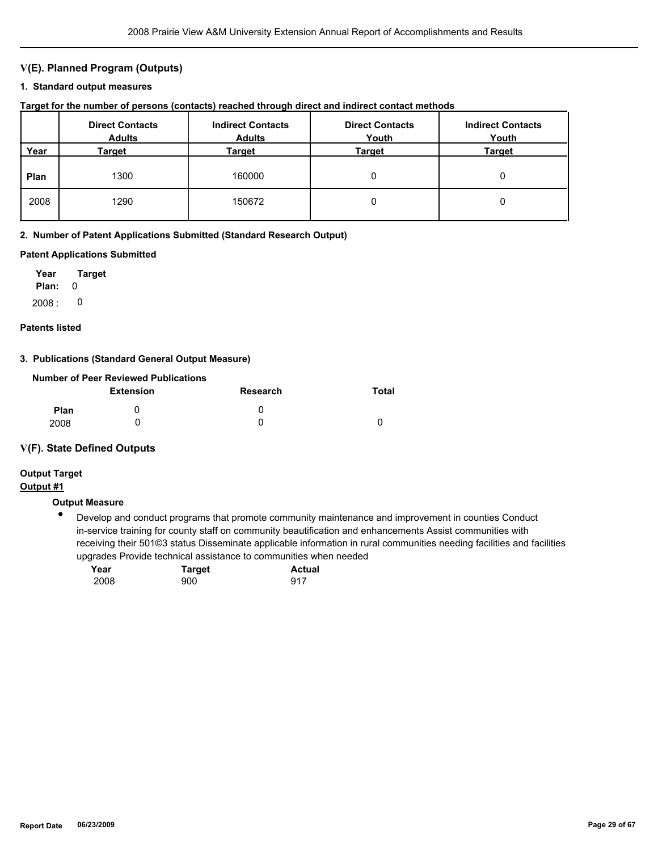# **V(E). Planned Program (Outputs)**

#### **1. Standard output measures**

|  |  |  |  |  | Target for the number of persons (contacts) reached through direct and indirect contact methods |  |
|--|--|--|--|--|-------------------------------------------------------------------------------------------------|--|
|--|--|--|--|--|-------------------------------------------------------------------------------------------------|--|

|      | <b>Direct Contacts</b><br><b>Adults</b> | <b>Indirect Contacts</b><br><b>Adults</b> | <b>Direct Contacts</b><br>Youth | <b>Indirect Contacts</b><br>Youth |
|------|-----------------------------------------|-------------------------------------------|---------------------------------|-----------------------------------|
| Year | Target                                  | Target                                    | Target                          | Target                            |
| Plan | 1300                                    | 160000                                    | 0                               |                                   |
| 2008 | 1290                                    | 150672                                    | 0                               |                                   |

# **2. Number of Patent Applications Submitted (Standard Research Output)**

# **Patent Applications Submitted**

**Plan:** 0 **Year Target**  $2008: 0$ 

#### **Patents listed**

#### **3. Publications (Standard General Output Measure)**

|                  | Number of Peer Reviewed Publications |              |       |
|------------------|--------------------------------------|--------------|-------|
| <b>Extension</b> |                                      | Research     | Total |
| <b>Plan</b>      |                                      | $\mathbf{U}$ |       |
| 2008             |                                      |              |       |

# **V(F). State Defined Outputs**

# **Output Target**

# **Output #1**

# **Output Measure**

 $\bullet$ Develop and conduct programs that promote community maintenance and improvement in counties Conduct in-service training for county staff on community beautification and enhancements Assist communities with receiving their 501©3 status Disseminate applicable information in rural communities needing facilities and facilities upgrades Provide technical assistance to communities when needed

| Year | <b>Target</b> | <b>Actual</b> |
|------|---------------|---------------|
| 2008 | 900           | 917           |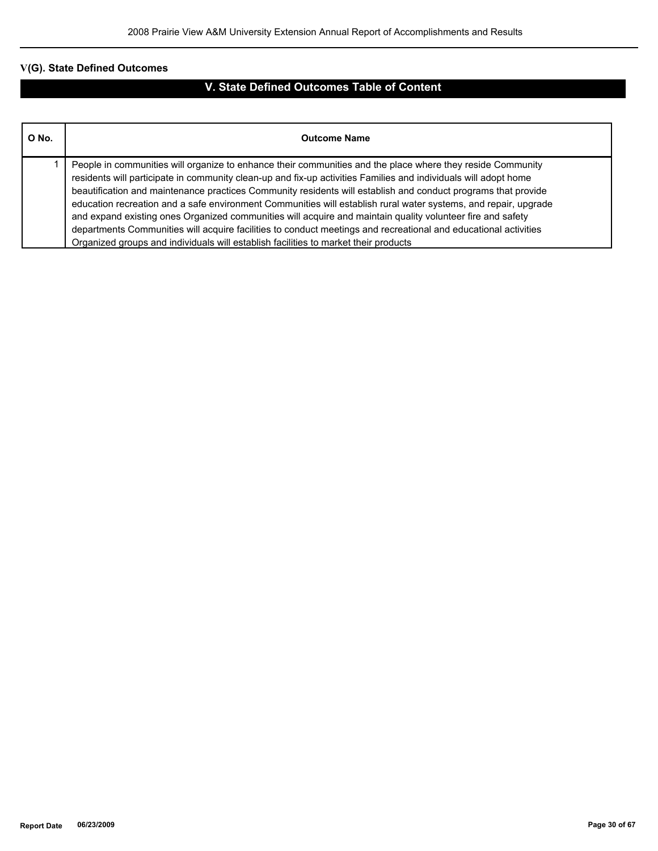# **V(G). State Defined Outcomes**

# **V. State Defined Outcomes Table of Content**

| O No. | <b>Outcome Name</b>                                                                                                                                                                                                                                                                                                                                                                                                                                                                                                                                                                                                                                                                                                                                                                       |
|-------|-------------------------------------------------------------------------------------------------------------------------------------------------------------------------------------------------------------------------------------------------------------------------------------------------------------------------------------------------------------------------------------------------------------------------------------------------------------------------------------------------------------------------------------------------------------------------------------------------------------------------------------------------------------------------------------------------------------------------------------------------------------------------------------------|
|       | People in communities will organize to enhance their communities and the place where they reside Community<br>residents will participate in community clean-up and fix-up activities Families and individuals will adopt home<br>beautification and maintenance practices Community residents will establish and conduct programs that provide<br>education recreation and a safe environment Communities will establish rural water systems, and repair, upgrade<br>and expand existing ones Organized communities will acquire and maintain quality volunteer fire and safety<br>departments Communities will acquire facilities to conduct meetings and recreational and educational activities<br>Organized groups and individuals will establish facilities to market their products |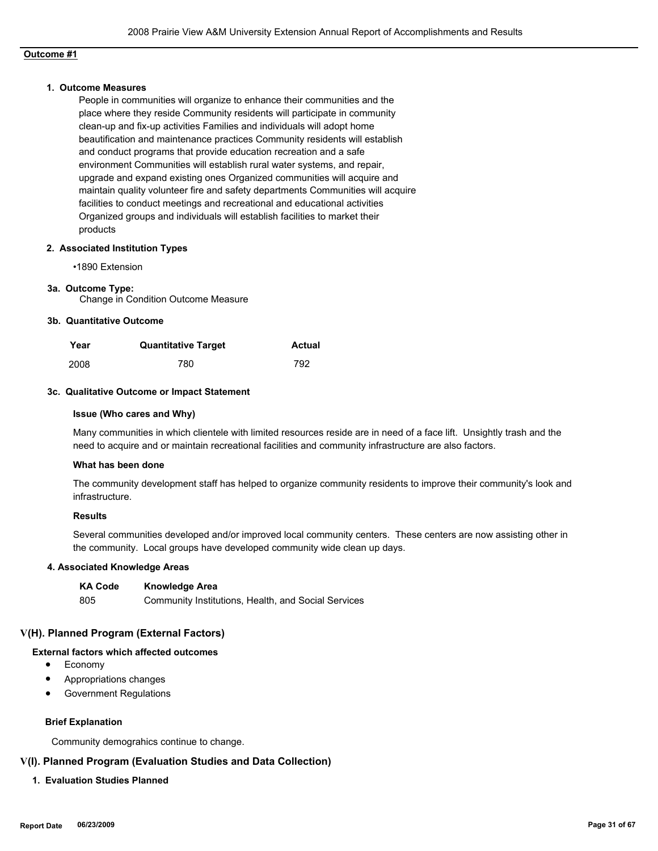# **Outcome #1**

#### **1. Outcome Measures**

People in communities will organize to enhance their communities and the place where they reside Community residents will participate in community clean-up and fix-up activities Families and individuals will adopt home beautification and maintenance practices Community residents will establish and conduct programs that provide education recreation and a safe environment Communities will establish rural water systems, and repair, upgrade and expand existing ones Organized communities will acquire and maintain quality volunteer fire and safety departments Communities will acquire facilities to conduct meetings and recreational and educational activities Organized groups and individuals will establish facilities to market their products

#### **2. Associated Institution Types**

•1890 Extension

#### **3a. Outcome Type:**

Change in Condition Outcome Measure

#### **3b. Quantitative Outcome**

| Year | <b>Quantitative Target</b> | Actual |
|------|----------------------------|--------|
| 2008 | 780                        | 792    |

#### **3c. Qualitative Outcome or Impact Statement**

#### **Issue (Who cares and Why)**

Many communities in which clientele with limited resources reside are in need of a face lift. Unsightly trash and the need to acquire and or maintain recreational facilities and community infrastructure are also factors.

#### **What has been done**

The community development staff has helped to organize community residents to improve their community's look and infrastructure.

#### **Results**

Several communities developed and/or improved local community centers. These centers are now assisting other in the community. Local groups have developed community wide clean up days.

### **4. Associated Knowledge Areas**

| <b>KA Code</b> | <b>Knowledge Area</b>                               |
|----------------|-----------------------------------------------------|
| 805            | Community Institutions, Health, and Social Services |

#### **V(H). Planned Program (External Factors)**

# **External factors which affected outcomes**

- Economy
- Appropriations changes
- Government Regulations

#### **Brief Explanation**

Community demograhics continue to change.

# **V(I). Planned Program (Evaluation Studies and Data Collection)**

#### **1. Evaluation Studies Planned**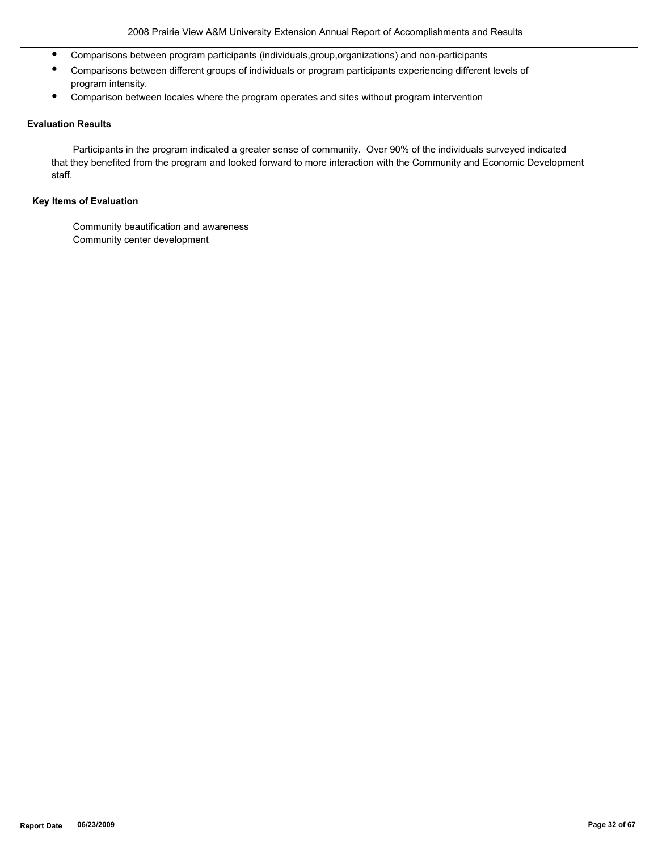- Comparisons between program participants (individuals,group,organizations) and non-participants
- Comparisons between different groups of individuals or program participants experiencing different levels of program intensity.
- Comparison between locales where the program operates and sites without program intervention

# **Evaluation Results**

 Participants in the program indicated a greater sense of community. Over 90% of the individuals surveyed indicated that they benefited from the program and looked forward to more interaction with the Community and Economic Development staff.

# **Key Items of Evaluation**

 Community beautification and awareness Community center development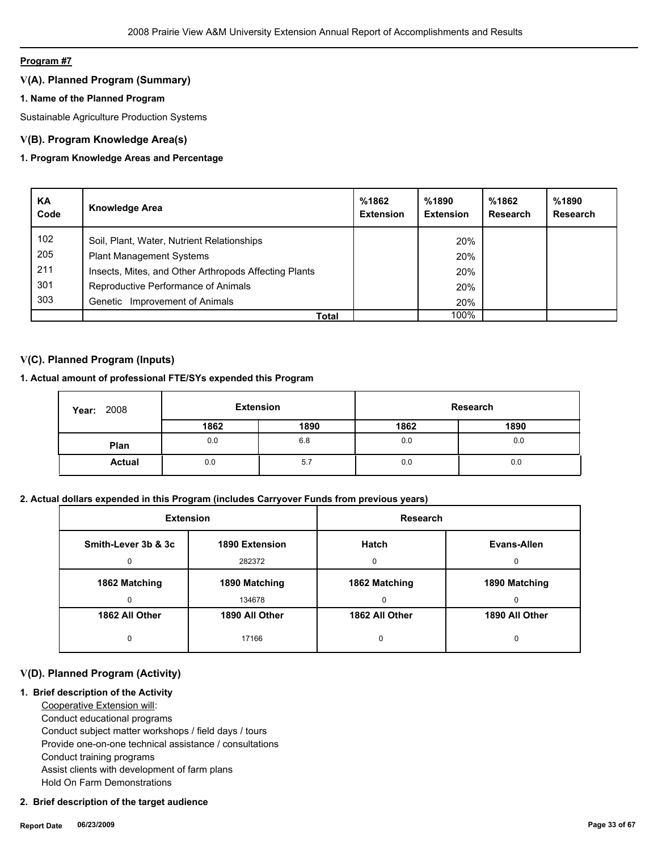# **Program #7**

# **V(A). Planned Program (Summary)**

# **1. Name of the Planned Program**

Sustainable Agriculture Production Systems

# **V(B). Program Knowledge Area(s)**

# **1. Program Knowledge Areas and Percentage**

| KA<br>Code | <b>Knowledge Area</b>                                 | %1862<br><b>Extension</b> | %1890<br><b>Extension</b> | %1862<br>Research | %1890<br>Research |
|------------|-------------------------------------------------------|---------------------------|---------------------------|-------------------|-------------------|
| 102        | Soil, Plant, Water, Nutrient Relationships            |                           | 20%                       |                   |                   |
| 205        | <b>Plant Management Systems</b>                       |                           | 20%                       |                   |                   |
| 211        | Insects, Mites, and Other Arthropods Affecting Plants |                           | 20%                       |                   |                   |
| 301        | Reproductive Performance of Animals                   |                           | 20%                       |                   |                   |
| 303        | Improvement of Animals<br>Genetic                     |                           | 20%                       |                   |                   |
|            | Total                                                 |                           | 100%                      |                   |                   |

# **V(C). Planned Program (Inputs)**

# **1. Actual amount of professional FTE/SYs expended this Program**

| 2008<br>Year: | <b>Extension</b> |      | Research |      |  |
|---------------|------------------|------|----------|------|--|
|               | 1862             | 1890 | 1862     | 1890 |  |
| Plan          | 0.0              | 6.8  | 0.0      | 0.0  |  |
| <b>Actual</b> | 0.0              | 5.7  | 0.0      | 0.0  |  |

# **2. Actual dollars expended in this Program (includes Carryover Funds from previous years)**

| <b>Extension</b>    |                | <b>Research</b> |                |
|---------------------|----------------|-----------------|----------------|
| Smith-Lever 3b & 3c | 1890 Extension | Hatch           | Evans-Allen    |
| 0                   | 282372         | $\Omega$        | 0              |
| 1862 Matching       | 1890 Matching  | 1862 Matching   | 1890 Matching  |
| 0                   | 134678         | 0               | 0              |
| 1862 All Other      | 1890 All Other | 1862 All Other  | 1890 All Other |
| 0                   | 17166          | 0               | 0              |

# **V(D). Planned Program (Activity)**

# **1. Brief description of the Activity**

 Cooperative Extension will: Conduct educational programs Conduct subject matter workshops / field days / tours Provide one-on-one technical assistance / consultations Conduct training programs Assist clients with development of farm plans Hold On Farm Demonstrations

#### **2. Brief description of the target audience**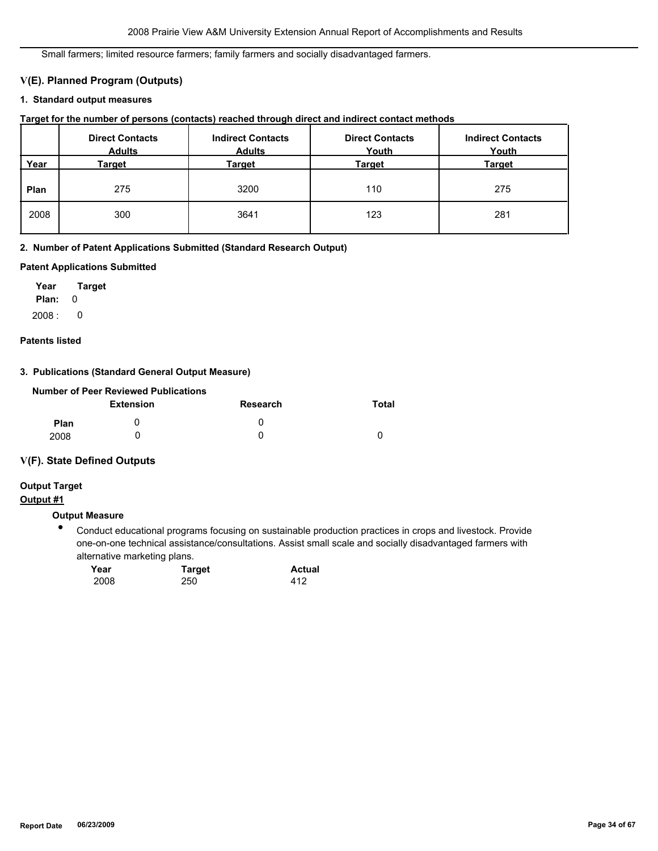Small farmers; limited resource farmers; family farmers and socially disadvantaged farmers.

# **V(E). Planned Program (Outputs)**

# **1. Standard output measures**

| Target for the number of persons (contacts) reached through direct and indirect contact methods |  |  |  |  |  |  |
|-------------------------------------------------------------------------------------------------|--|--|--|--|--|--|
|-------------------------------------------------------------------------------------------------|--|--|--|--|--|--|

|      | <b>Direct Contacts</b><br><b>Adults</b> | <b>Indirect Contacts</b><br><b>Adults</b> | <b>Direct Contacts</b><br>Youth | <b>Indirect Contacts</b><br>Youth |
|------|-----------------------------------------|-------------------------------------------|---------------------------------|-----------------------------------|
| Year | Target                                  | Target                                    | Target                          | <b>Target</b>                     |
| Plan | 275                                     | 3200                                      | 110                             | 275                               |
| 2008 | 300                                     | 3641                                      | 123                             | 281                               |

# **2. Number of Patent Applications Submitted (Standard Research Output)**

# **Patent Applications Submitted**

**Plan:** 0 **Year Target**  $2008:0$ 

#### **Patents listed**

# **3. Publications (Standard General Output Measure)**

|      | Number of Peer Reviewed Publications |                 |       |
|------|--------------------------------------|-----------------|-------|
|      | Extension                            | <b>Research</b> | Total |
| Plan |                                      | $\mathbf{0}$    |       |
| 2008 |                                      | $\mathbf{I}$    |       |

# **V(F). State Defined Outputs**

# **Output #1 Output Target**

# **Output Measure**

● Conduct educational programs focusing on sustainable production practices in crops and livestock. Provide one-on-one technical assistance/consultations. Assist small scale and socially disadvantaged farmers with alternative marketing plans.

| Year | <b>Target</b> | <b>Actual</b> |
|------|---------------|---------------|
| 2008 | 250           | 412           |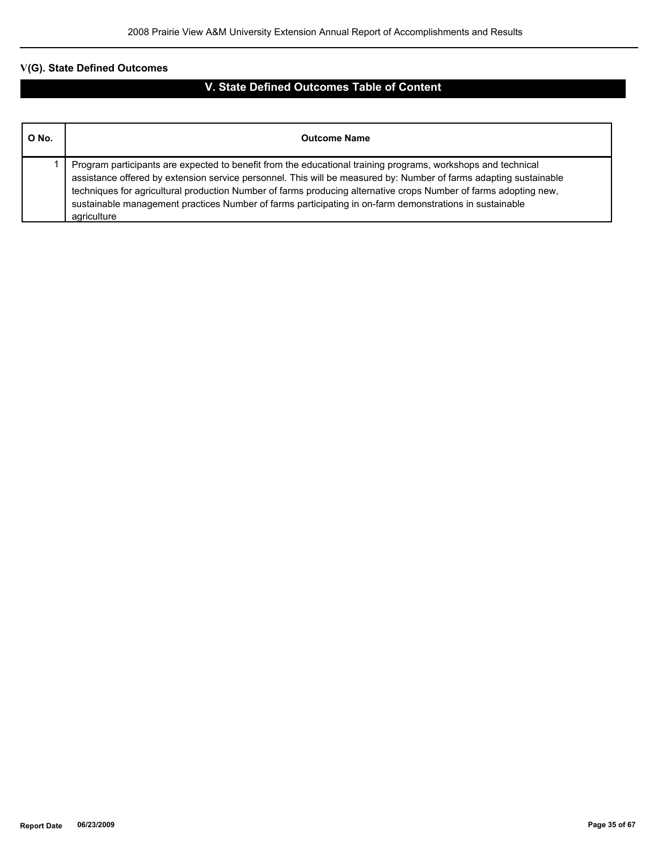# **V(G). State Defined Outcomes**

# **V. State Defined Outcomes Table of Content**

| O No. | <b>Outcome Name</b>                                                                                                                                                                                                                                                                                                                                                                                                                                                             |
|-------|---------------------------------------------------------------------------------------------------------------------------------------------------------------------------------------------------------------------------------------------------------------------------------------------------------------------------------------------------------------------------------------------------------------------------------------------------------------------------------|
|       | Program participants are expected to benefit from the educational training programs, workshops and technical<br>assistance offered by extension service personnel. This will be measured by: Number of farms adapting sustainable<br>techniques for agricultural production Number of farms producing alternative crops Number of farms adopting new,<br>sustainable management practices Number of farms participating in on-farm demonstrations in sustainable<br>agriculture |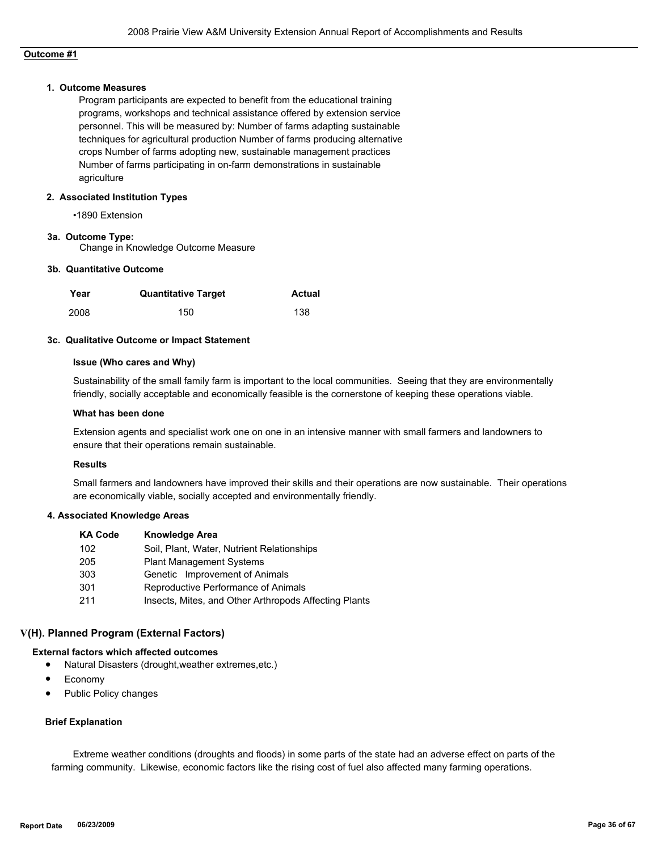# **Outcome #1**

#### **1. Outcome Measures**

Program participants are expected to benefit from the educational training programs, workshops and technical assistance offered by extension service personnel. This will be measured by: Number of farms adapting sustainable techniques for agricultural production Number of farms producing alternative crops Number of farms adopting new, sustainable management practices Number of farms participating in on-farm demonstrations in sustainable agriculture

#### **2. Associated Institution Types**

•1890 Extension

#### **3a. Outcome Type:**

Change in Knowledge Outcome Measure

#### **3b. Quantitative Outcome**

| Year | <b>Quantitative Target</b> | Actual |
|------|----------------------------|--------|
| 2008 | 150                        | 138    |

#### **3c. Qualitative Outcome or Impact Statement**

#### **Issue (Who cares and Why)**

Sustainability of the small family farm is important to the local communities. Seeing that they are environmentally friendly, socially acceptable and economically feasible is the cornerstone of keeping these operations viable.

#### **What has been done**

Extension agents and specialist work one on one in an intensive manner with small farmers and landowners to ensure that their operations remain sustainable.

#### **Results**

Small farmers and landowners have improved their skills and their operations are now sustainable. Their operations are economically viable, socially accepted and environmentally friendly.

#### **4. Associated Knowledge Areas**

| <b>KA Code</b> | <b>Knowledge Area</b>                                 |
|----------------|-------------------------------------------------------|
| 102            | Soil, Plant, Water, Nutrient Relationships            |
| 205            | <b>Plant Management Systems</b>                       |
| 303            | Genetic Improvement of Animals                        |
| 301            | Reproductive Performance of Animals                   |
| 211            | Insects, Mites, and Other Arthropods Affecting Plants |

# **V(H). Planned Program (External Factors)**

#### **External factors which affected outcomes**

- Natural Disasters (drought,weather extremes,etc.)
- Economy
- Public Policy changes

#### **Brief Explanation**

 Extreme weather conditions (droughts and floods) in some parts of the state had an adverse effect on parts of the farming community. Likewise, economic factors like the rising cost of fuel also affected many farming operations.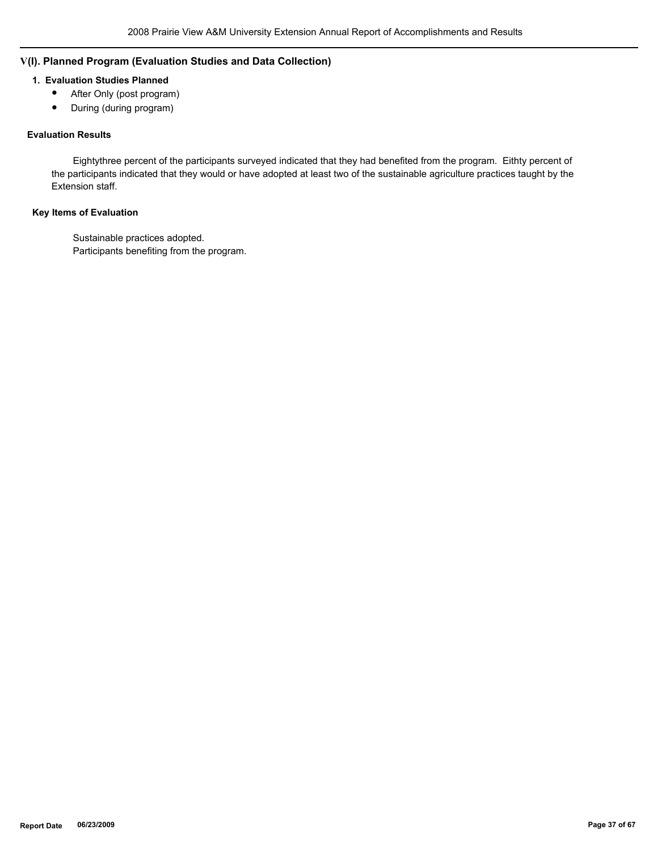# **V(I). Planned Program (Evaluation Studies and Data Collection)**

# **1. Evaluation Studies Planned**

- After Only (post program)
- During (during program)

# **Evaluation Results**

 Eightythree percent of the participants surveyed indicated that they had benefited from the program. Eithty percent of the participants indicated that they would or have adopted at least two of the sustainable agriculture practices taught by the Extension staff.

# **Key Items of Evaluation**

 Sustainable practices adopted. Participants benefiting from the program.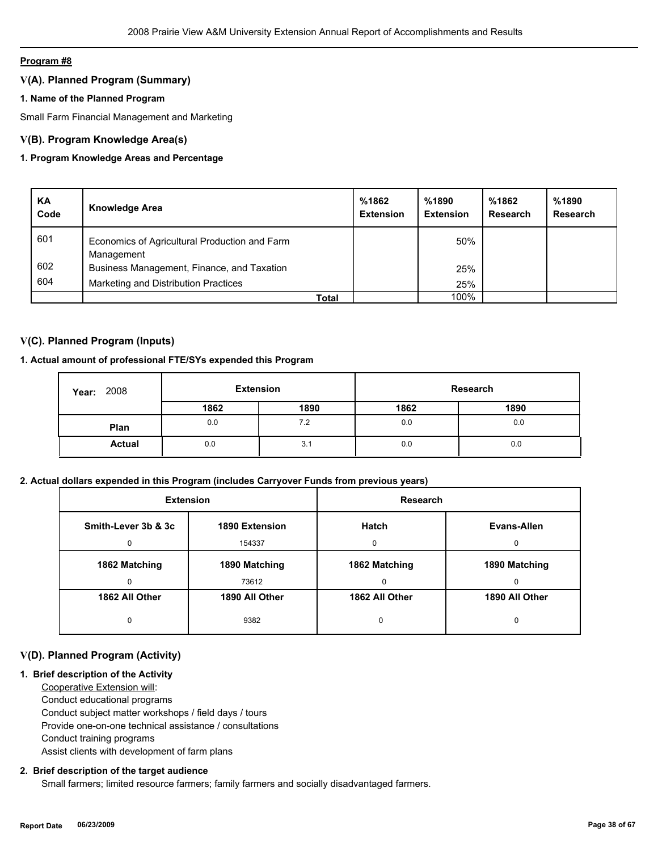### **Program #8**

# **V(A). Planned Program (Summary)**

# **1. Name of the Planned Program**

Small Farm Financial Management and Marketing

# **V(B). Program Knowledge Area(s)**

# **1. Program Knowledge Areas and Percentage**

| KA<br>Code | <b>Knowledge Area</b>                                       | %1862<br><b>Extension</b> | %1890<br><b>Extension</b> | %1862<br>Research | %1890<br><b>Research</b> |
|------------|-------------------------------------------------------------|---------------------------|---------------------------|-------------------|--------------------------|
| 601        | Economics of Agricultural Production and Farm<br>Management |                           | 50%                       |                   |                          |
| 602        | Business Management, Finance, and Taxation                  |                           | 25%                       |                   |                          |
| 604        | Marketing and Distribution Practices                        |                           | 25%                       |                   |                          |
|            | Total                                                       |                           | 100%                      |                   |                          |

# **V(C). Planned Program (Inputs)**

# **1. Actual amount of professional FTE/SYs expended this Program**

| 2008<br>Year: | <b>Extension</b> |      |      | Research |
|---------------|------------------|------|------|----------|
|               | 1862             | 1890 | 1862 | 1890     |
| Plan          | 0.0              | 7.2  | 0.0  | 0.0      |
| <b>Actual</b> | 0.0              | 3.1  | 0.0  | 0.0      |

# **2. Actual dollars expended in this Program (includes Carryover Funds from previous years)**

|                                       | <b>Extension</b> | <b>Research</b> |                |  |
|---------------------------------------|------------------|-----------------|----------------|--|
| Smith-Lever 3b & 3c<br>1890 Extension |                  | <b>Hatch</b>    | Evans-Allen    |  |
| 154337<br>0                           |                  | O               | <sup>0</sup>   |  |
| 1862 Matching                         | 1890 Matching    | 1862 Matching   | 1890 Matching  |  |
| <sup>0</sup>                          | 73612            | $\Omega$        | U              |  |
| 1862 All Other                        | 1890 All Other   | 1862 All Other  | 1890 All Other |  |
| 0                                     | 9382             | 0               | 0              |  |

# **V(D). Planned Program (Activity)**

# **1. Brief description of the Activity**

 Cooperative Extension will: Conduct educational programs Conduct subject matter workshops / field days / tours Provide one-on-one technical assistance / consultations Conduct training programs Assist clients with development of farm plans

#### **2. Brief description of the target audience**

Small farmers; limited resource farmers; family farmers and socially disadvantaged farmers.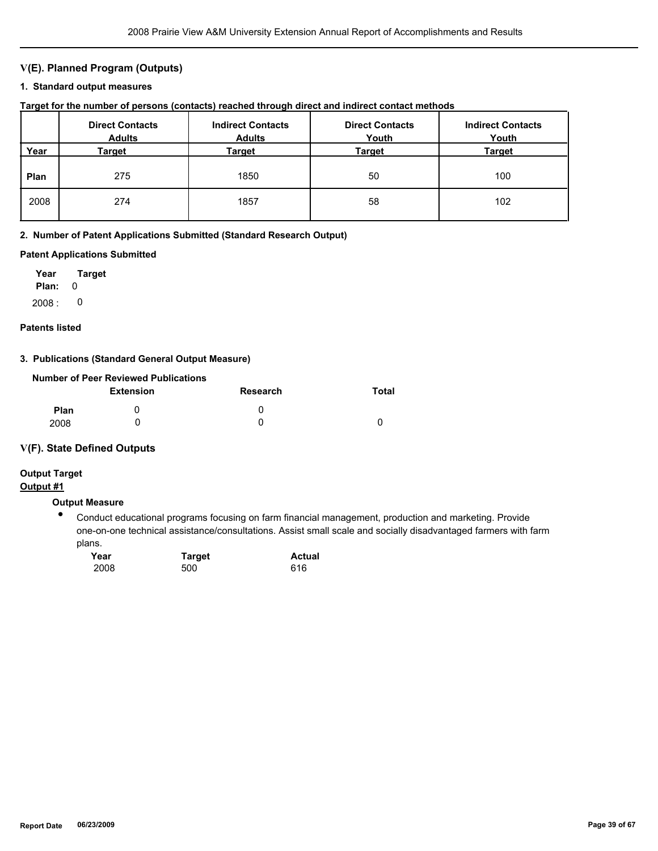# **V(E). Planned Program (Outputs)**

#### **1. Standard output measures**

**Target for the number of persons (contacts) reached through direct and indirect contact methods**

|      | <b>Direct Contacts</b><br><b>Adults</b> | <b>Indirect Contacts</b><br><b>Adults</b> | <b>Direct Contacts</b><br>Youth | <b>Indirect Contacts</b><br>Youth |
|------|-----------------------------------------|-------------------------------------------|---------------------------------|-----------------------------------|
| Year | Target                                  | Target                                    | Target                          | <b>Target</b>                     |
| Plan | 275                                     | 1850                                      | 50                              | 100                               |
| 2008 | 274                                     | 1857                                      | 58                              | 102                               |

#### **2. Number of Patent Applications Submitted (Standard Research Output)**

#### **Patent Applications Submitted**

**Plan:** 0 **Year Target**  $2008: 0$ 

#### **Patents listed**

#### **3. Publications (Standard General Output Measure)**

|             | Number of Peer Reviewed Publications |              |       |
|-------------|--------------------------------------|--------------|-------|
|             | <b>Extension</b>                     | Research     | Total |
| <b>Plan</b> |                                      | $\mathbf{U}$ |       |
| 2008        |                                      |              |       |

#### **V(F). State Defined Outputs**

# **Output Target**

# **Output #1**

# **Output Measure**

● Conduct educational programs focusing on farm financial management, production and marketing. Provide one-on-one technical assistance/consultations. Assist small scale and socially disadvantaged farmers with farm plans.

| Year | <b>Target</b> | <b>Actual</b> |
|------|---------------|---------------|
| 2008 | 500           | 616           |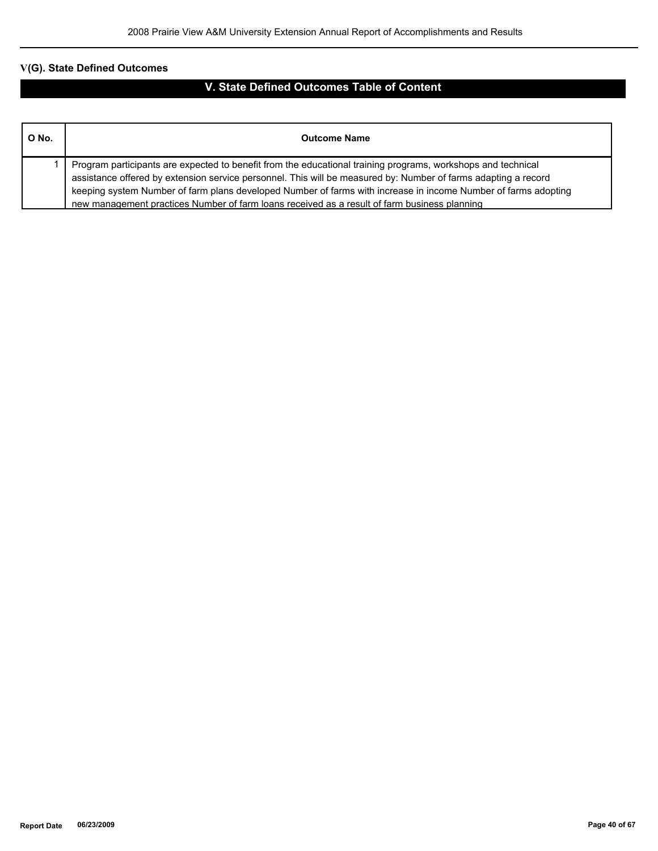# **V(G). State Defined Outcomes**

# **V. State Defined Outcomes Table of Content**

| O No. | <b>Outcome Name</b>                                                                                                                                                                                                                                                                                                                                                                                                                              |
|-------|--------------------------------------------------------------------------------------------------------------------------------------------------------------------------------------------------------------------------------------------------------------------------------------------------------------------------------------------------------------------------------------------------------------------------------------------------|
|       | Program participants are expected to benefit from the educational training programs, workshops and technical<br>assistance offered by extension service personnel. This will be measured by: Number of farms adapting a record<br>keeping system Number of farm plans developed Number of farms with increase in income Number of farms adopting<br>new management practices Number of farm loans received as a result of farm business planning |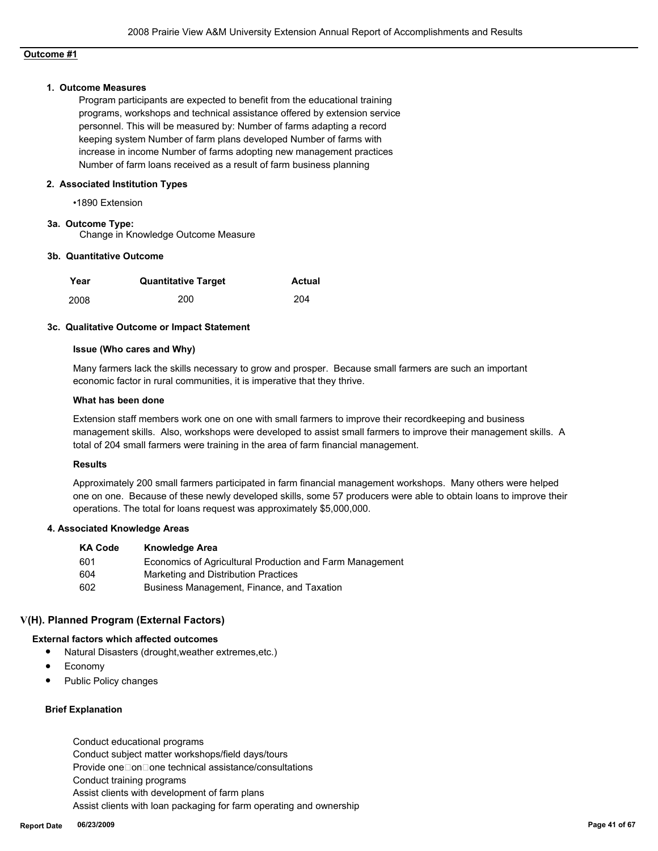# **Outcome #1**

#### **1. Outcome Measures**

Program participants are expected to benefit from the educational training programs, workshops and technical assistance offered by extension service personnel. This will be measured by: Number of farms adapting a record keeping system Number of farm plans developed Number of farms with increase in income Number of farms adopting new management practices Number of farm loans received as a result of farm business planning

#### **2. Associated Institution Types**

•1890 Extension

#### **3a. Outcome Type:**

Change in Knowledge Outcome Measure

#### **3b. Quantitative Outcome**

| Year | <b>Quantitative Target</b> | Actual |
|------|----------------------------|--------|
| 2008 | 200                        | 204    |

#### **3c. Qualitative Outcome or Impact Statement**

#### **Issue (Who cares and Why)**

Many farmers lack the skills necessary to grow and prosper. Because small farmers are such an important economic factor in rural communities, it is imperative that they thrive.

#### **What has been done**

Extension staff members work one on one with small farmers to improve their recordkeeping and business management skills. Also, workshops were developed to assist small farmers to improve their management skills. A total of 204 small farmers were training in the area of farm financial management.

### **Results**

Approximately 200 small farmers participated in farm financial management workshops. Many others were helped one on one. Because of these newly developed skills, some 57 producers were able to obtain loans to improve their operations. The total for loans request was approximately \$5,000,000.

#### **4. Associated Knowledge Areas**

| <b>KA Code</b> | <b>Knowledge Area</b>                                    |
|----------------|----------------------------------------------------------|
| -601           | Economics of Agricultural Production and Farm Management |
| 604            | Marketing and Distribution Practices                     |
| 602            | Business Management, Finance, and Taxation               |

#### **V(H). Planned Program (External Factors)**

#### **External factors which affected outcomes**

- Natural Disasters (drought,weather extremes,etc.)
- Economy
- Public Policy changes

# **Brief Explanation**

 Conduct educational programs Conduct subject matter workshops/field days/tours Provide one□on□one technical assistance/consultations Conduct training programs Assist clients with development of farm plans Assist clients with loan packaging for farm operating and ownership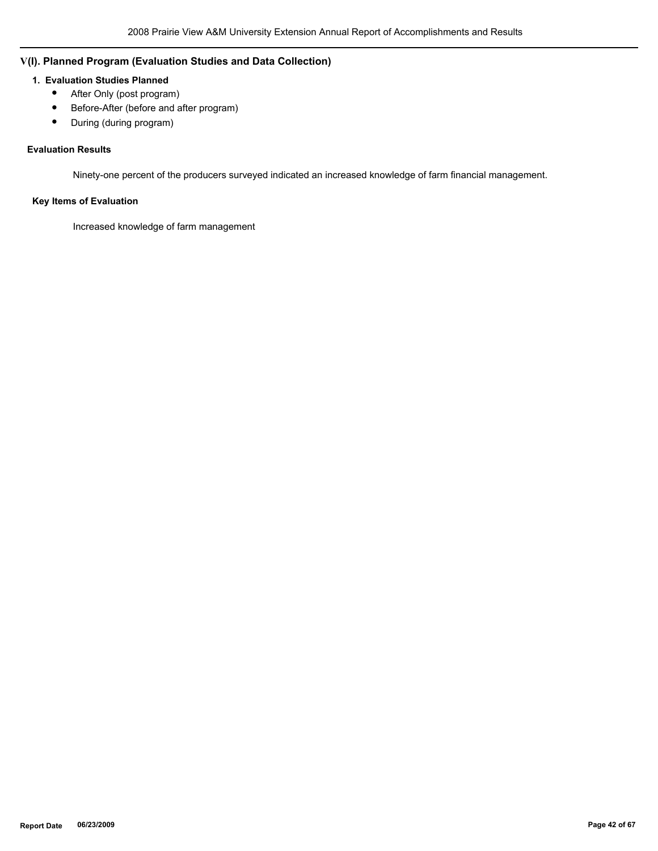# **V(I). Planned Program (Evaluation Studies and Data Collection)**

# **1. Evaluation Studies Planned**

- After Only (post program)
- Before-After (before and after program)
- During (during program)

# **Evaluation Results**

Ninety-one percent of the producers surveyed indicated an increased knowledge of farm financial management.

# **Key Items of Evaluation**

Increased knowledge of farm management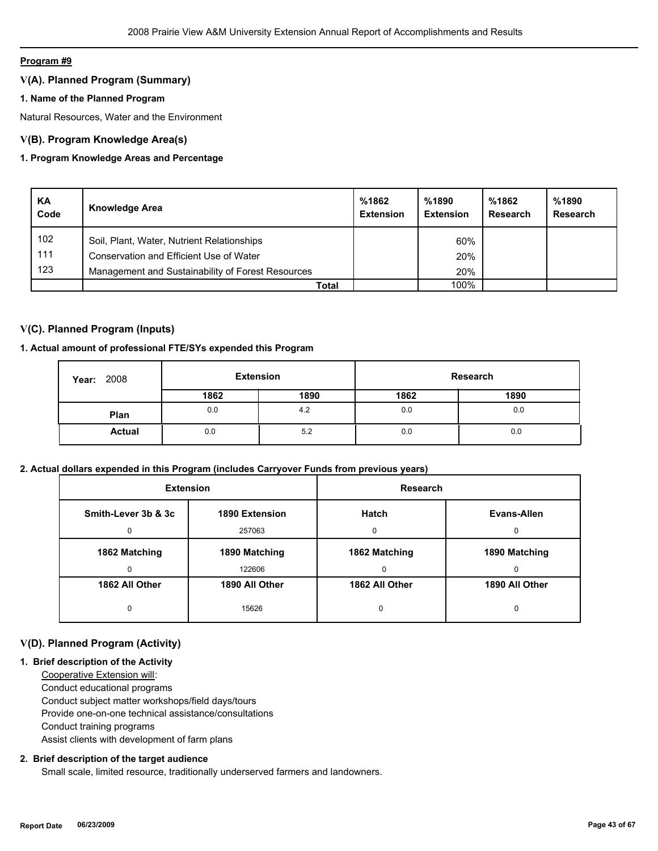#### **Program #9**

# **V(A). Planned Program (Summary)**

# **1. Name of the Planned Program**

Natural Resources, Water and the Environment

# **V(B). Program Knowledge Area(s)**

# **1. Program Knowledge Areas and Percentage**

| KA<br>Code | <b>Knowledge Area</b>                             | %1862<br><b>Extension</b> | %1890<br><b>Extension</b> | %1862<br>Research | %1890<br>Research |
|------------|---------------------------------------------------|---------------------------|---------------------------|-------------------|-------------------|
| 102        | Soil, Plant, Water, Nutrient Relationships        |                           | 60%                       |                   |                   |
| 111        | Conservation and Efficient Use of Water           |                           | 20%                       |                   |                   |
| 123        | Management and Sustainability of Forest Resources |                           | 20%                       |                   |                   |
|            | Total                                             |                           | 100%                      |                   |                   |

# **V(C). Planned Program (Inputs)**

# **1. Actual amount of professional FTE/SYs expended this Program**

| 2008<br>Year: | <b>Extension</b> |      |      | Research |
|---------------|------------------|------|------|----------|
|               | 1862             | 1890 | 1862 | 1890     |
| Plan          | 0.0              | 4.2  | 0.0  | 0.0      |
| <b>Actual</b> | 0.0              | 5.2  | 0.0  | 0.0      |

# **2. Actual dollars expended in this Program (includes Carryover Funds from previous years)**

| <b>Extension</b>                      |                | Research       |                |  |
|---------------------------------------|----------------|----------------|----------------|--|
| Smith-Lever 3b & 3c<br>1890 Extension |                | <b>Hatch</b>   | Evans-Allen    |  |
| 257063                                |                | $\Omega$       |                |  |
| 1862 Matching<br>1890 Matching        |                | 1862 Matching  | 1890 Matching  |  |
| 122606                                |                | $\Omega$       | 0              |  |
| 1862 All Other                        | 1890 All Other | 1862 All Other | 1890 All Other |  |
| 0                                     | 15626          | 0              |                |  |

# **V(D). Planned Program (Activity)**

# **1. Brief description of the Activity**

 Cooperative Extension will: Conduct educational programs Conduct subject matter workshops/field days/tours Provide one-on-one technical assistance/consultations Conduct training programs Assist clients with development of farm plans

# **2. Brief description of the target audience**

Small scale, limited resource, traditionally underserved farmers and landowners.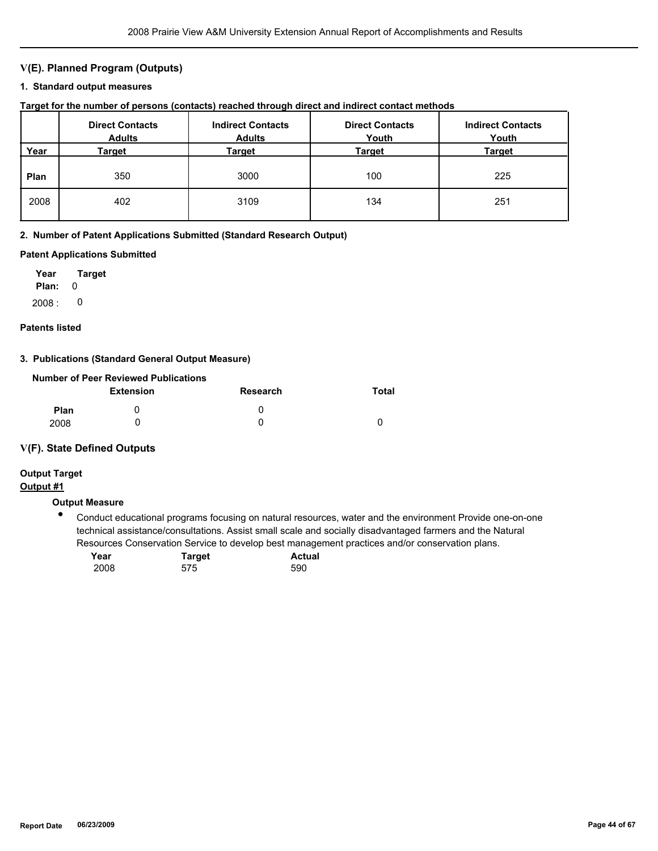# **V(E). Planned Program (Outputs)**

#### **1. Standard output measures**

| Target for the number of persons (contacts) reached through direct and indirect contact methods |  |  |  |  |  |  |
|-------------------------------------------------------------------------------------------------|--|--|--|--|--|--|
|-------------------------------------------------------------------------------------------------|--|--|--|--|--|--|

|      | <b>Direct Contacts</b><br><b>Adults</b> | <b>Indirect Contacts</b><br><b>Adults</b> | <b>Direct Contacts</b><br>Youth | <b>Indirect Contacts</b><br>Youth |
|------|-----------------------------------------|-------------------------------------------|---------------------------------|-----------------------------------|
| Year | Target                                  | Target                                    | Target                          | <b>Target</b>                     |
| Plan | 350                                     | 3000                                      | 100                             | 225                               |
| 2008 | 402                                     | 3109                                      | 134                             | 251                               |

#### **2. Number of Patent Applications Submitted (Standard Research Output)**

#### **Patent Applications Submitted**

**Plan:** 0 **Year Target**  $2008: 0$ 

#### **Patents listed**

#### **3. Publications (Standard General Output Measure)**

|             | Number of Peer Reviewed Publications |          |       |
|-------------|--------------------------------------|----------|-------|
|             | <b>Extension</b>                     | Research | Total |
| <b>Plan</b> |                                      | O        |       |
| 2008        |                                      |          |       |

#### **V(F). State Defined Outputs**

# **Output Target**

# **Output #1**

# **Output Measure**

● Conduct educational programs focusing on natural resources, water and the environment Provide one-on-one technical assistance/consultations. Assist small scale and socially disadvantaged farmers and the Natural Resources Conservation Service to develop best management practices and/or conservation plans.

| Year | <b>Target</b> | <b>Actual</b> |
|------|---------------|---------------|
| 2008 | 575           | 590           |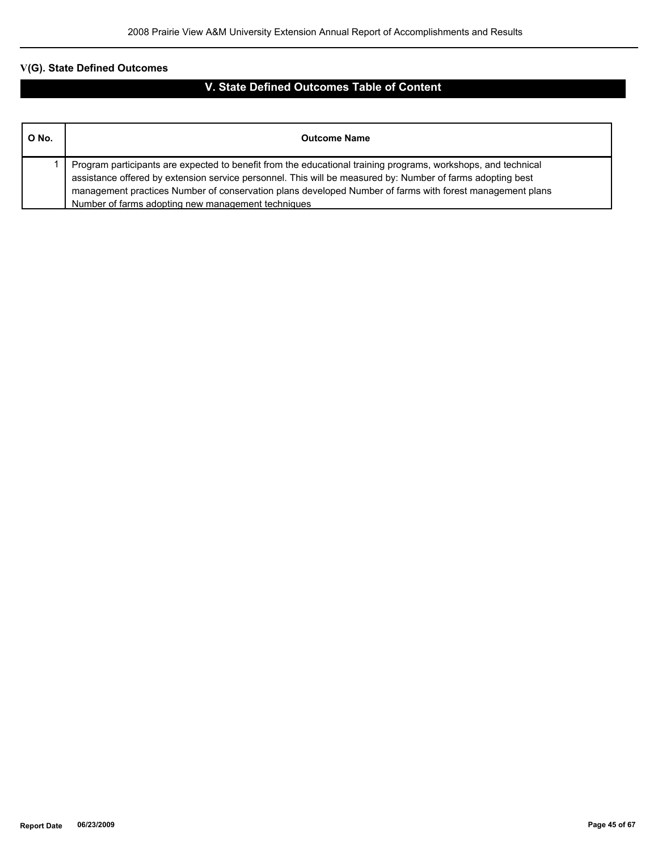# **V(G). State Defined Outcomes**

# **V. State Defined Outcomes Table of Content**

| O No. | <b>Outcome Name</b>                                                                                                                                                                                                                                                                                                                                                                           |
|-------|-----------------------------------------------------------------------------------------------------------------------------------------------------------------------------------------------------------------------------------------------------------------------------------------------------------------------------------------------------------------------------------------------|
|       | Program participants are expected to benefit from the educational training programs, workshops, and technical<br>assistance offered by extension service personnel. This will be measured by: Number of farms adopting best<br>management practices Number of conservation plans developed Number of farms with forest management plans<br>Number of farms adopting new management techniques |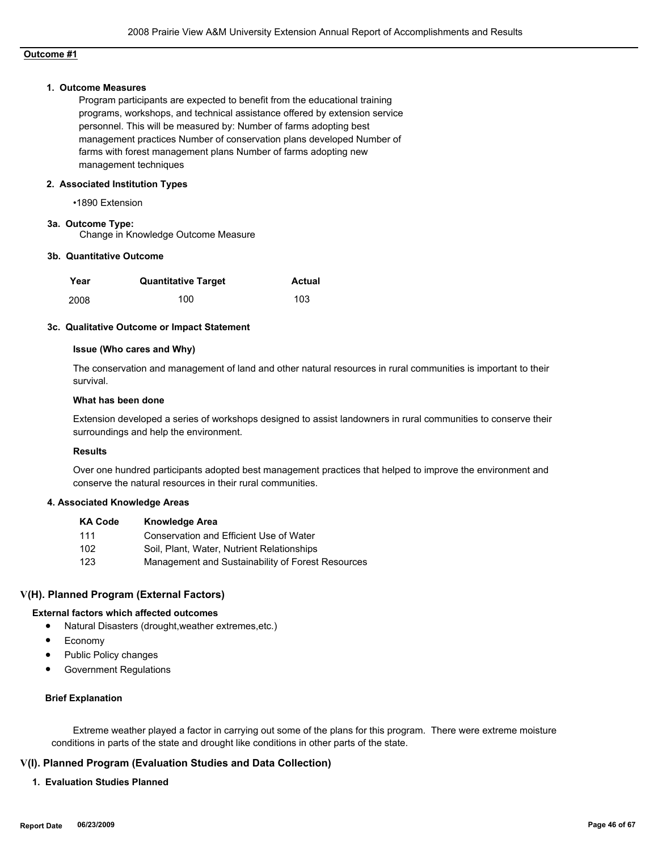# **Outcome #1**

#### **1. Outcome Measures**

Program participants are expected to benefit from the educational training programs, workshops, and technical assistance offered by extension service personnel. This will be measured by: Number of farms adopting best management practices Number of conservation plans developed Number of farms with forest management plans Number of farms adopting new management techniques

#### **2. Associated Institution Types**

•1890 Extension

#### **3a. Outcome Type:**

Change in Knowledge Outcome Measure

#### **3b. Quantitative Outcome**

| Year | <b>Quantitative Target</b> | Actual |
|------|----------------------------|--------|
| 2008 | 100                        | 103    |

#### **3c. Qualitative Outcome or Impact Statement**

#### **Issue (Who cares and Why)**

The conservation and management of land and other natural resources in rural communities is important to their survival.

#### **What has been done**

Extension developed a series of workshops designed to assist landowners in rural communities to conserve their surroundings and help the environment.

#### **Results**

Over one hundred participants adopted best management practices that helped to improve the environment and conserve the natural resources in their rural communities.

#### **4. Associated Knowledge Areas**

| <b>KA Code</b> | <b>Knowledge Area</b>                             |
|----------------|---------------------------------------------------|
| 111            | Conservation and Efficient Use of Water           |
| 102            | Soil, Plant, Water, Nutrient Relationships        |
| 123            | Management and Sustainability of Forest Resources |

#### **V(H). Planned Program (External Factors)**

#### **External factors which affected outcomes**

- Natural Disasters (drought,weather extremes,etc.)
- Economy
- Public Policy changes
- Government Regulations

#### **Brief Explanation**

 Extreme weather played a factor in carrying out some of the plans for this program. There were extreme moisture conditions in parts of the state and drought like conditions in other parts of the state.

#### **V(I). Planned Program (Evaluation Studies and Data Collection)**

**1. Evaluation Studies Planned**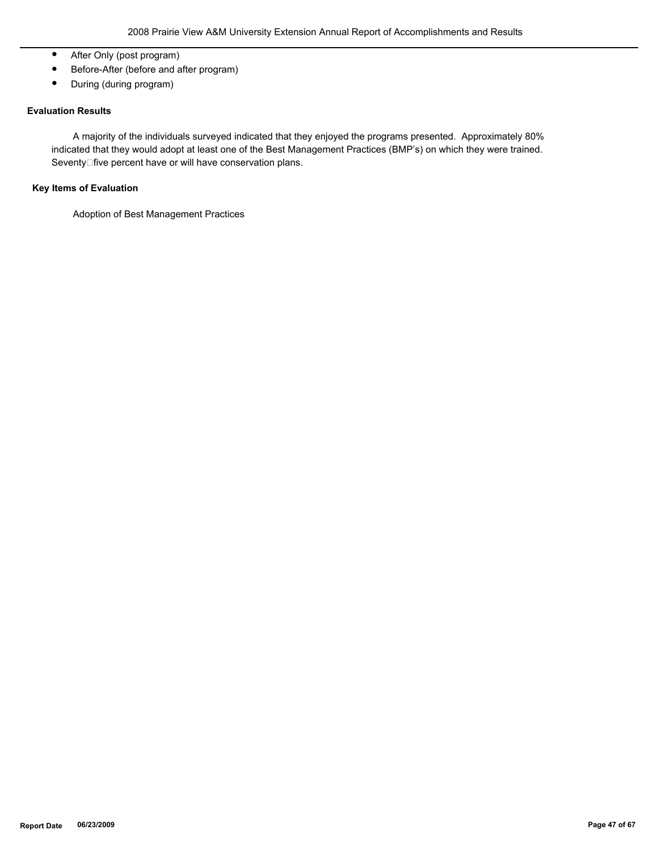- After Only (post program)
- Before-After (before and after program)
- During (during program)

# **Evaluation Results**

 A majority of the individuals surveyed indicated that they enjoyed the programs presented. Approximately 80% indicated that they would adopt at least one of the Best Management Practices (BMP's) on which they were trained. Seventy□five percent have or will have conservation plans.

# **Key Items of Evaluation**

Adoption of Best Management Practices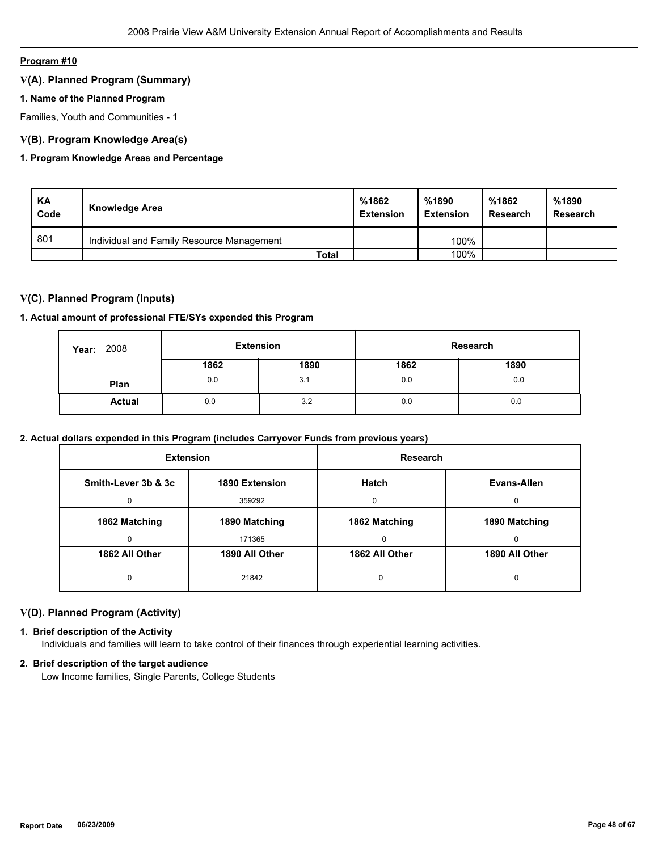# **Program #10**

# **V(A). Planned Program (Summary)**

### **1. Name of the Planned Program**

Families, Youth and Communities - 1

# **V(B). Program Knowledge Area(s)**

# **1. Program Knowledge Areas and Percentage**

| KA<br>Code | Knowledge Area                            | %1862<br><b>Extension</b> | %1890<br><b>Extension</b> | %1862<br><b>Research</b> | %1890<br><b>Research</b> |
|------------|-------------------------------------------|---------------------------|---------------------------|--------------------------|--------------------------|
| 801        | Individual and Family Resource Management |                           | 100%                      |                          |                          |
|            | <b>Total</b>                              |                           | 100%                      |                          |                          |

# **V(C). Planned Program (Inputs)**

#### **1. Actual amount of professional FTE/SYs expended this Program**

| 2008<br>Year: | <b>Extension</b> |      |      | Research |
|---------------|------------------|------|------|----------|
|               | 1862             | 1890 | 1862 | 1890     |
| Plan          | 0.0              | 3.1  | 0.0  | 0.0      |
| <b>Actual</b> | 0.0              | 3.2  | 0.0  | 0.0      |

# **2. Actual dollars expended in this Program (includes Carryover Funds from previous years)**

| <b>Extension</b>    |                | Research       |                |  |
|---------------------|----------------|----------------|----------------|--|
| Smith-Lever 3b & 3c | 1890 Extension | <b>Hatch</b>   | Evans-Allen    |  |
| 0                   | 359292         | $\Omega$       | 0              |  |
| 1862 Matching       | 1890 Matching  | 1862 Matching  | 1890 Matching  |  |
| 0                   | 171365         | 0              | 0              |  |
| 1862 All Other      | 1890 All Other | 1862 All Other | 1890 All Other |  |
| 0                   | 21842          | 0              | 0              |  |

# **V(D). Planned Program (Activity)**

#### **1. Brief description of the Activity**

Individuals and families will learn to take control of their finances through experiential learning activities.

#### **2. Brief description of the target audience**

Low Income families, Single Parents, College Students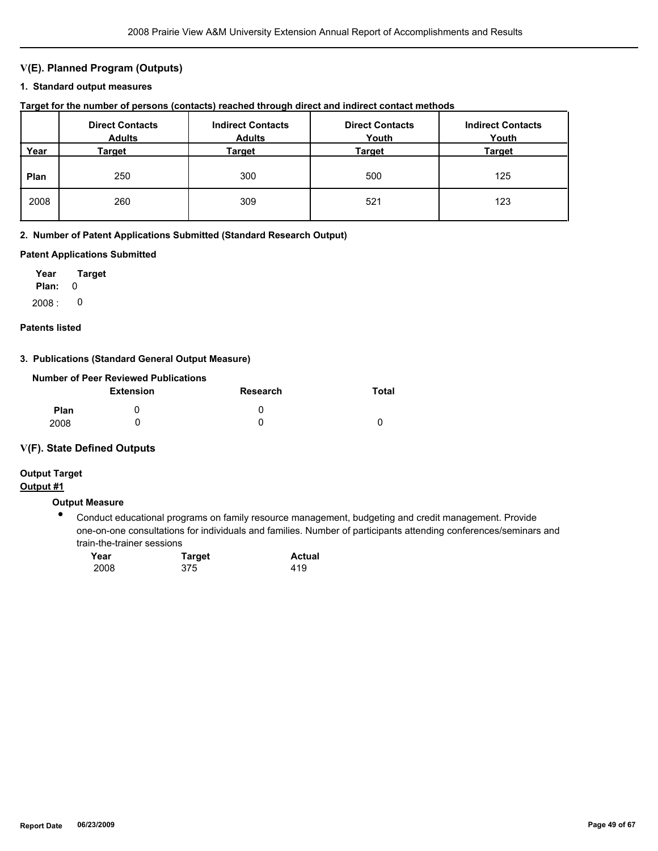# **V(E). Planned Program (Outputs)**

### **1. Standard output measures**

| Target for the number of persons (contacts) reached through direct and indirect contact methods |  |  |  |  |  |  |
|-------------------------------------------------------------------------------------------------|--|--|--|--|--|--|
|-------------------------------------------------------------------------------------------------|--|--|--|--|--|--|

|      | <b>Direct Contacts</b><br><b>Adults</b> | <b>Indirect Contacts</b><br><b>Adults</b> | <b>Direct Contacts</b><br>Youth | <b>Indirect Contacts</b><br>Youth |
|------|-----------------------------------------|-------------------------------------------|---------------------------------|-----------------------------------|
| Year | Target                                  | <b>Target</b>                             | Target                          | <b>Target</b>                     |
| Plan | 250                                     | 300                                       | 500                             | 125                               |
| 2008 | 260                                     | 309                                       | 521                             | 123                               |

#### **2. Number of Patent Applications Submitted (Standard Research Output)**

#### **Patent Applications Submitted**

**Plan:** 0 **Year Target**  $2008: 0$ 

#### **Patents listed**

# **3. Publications (Standard General Output Measure)**

|             | Number of Peer Reviewed Publications |          |       |
|-------------|--------------------------------------|----------|-------|
|             | <b>Extension</b>                     | Research | Total |
| <b>Plan</b> |                                      | O        |       |
| 2008        |                                      |          |       |

# **V(F). State Defined Outputs**

# **Output Target**

# **Output #1**

# **Output Measure**

● Conduct educational programs on family resource management, budgeting and credit management. Provide one-on-one consultations for individuals and families. Number of participants attending conferences/seminars and train-the-trainer sessions

| Year | <b>Target</b> | <b>Actual</b> |
|------|---------------|---------------|
| 2008 | 375           | 419           |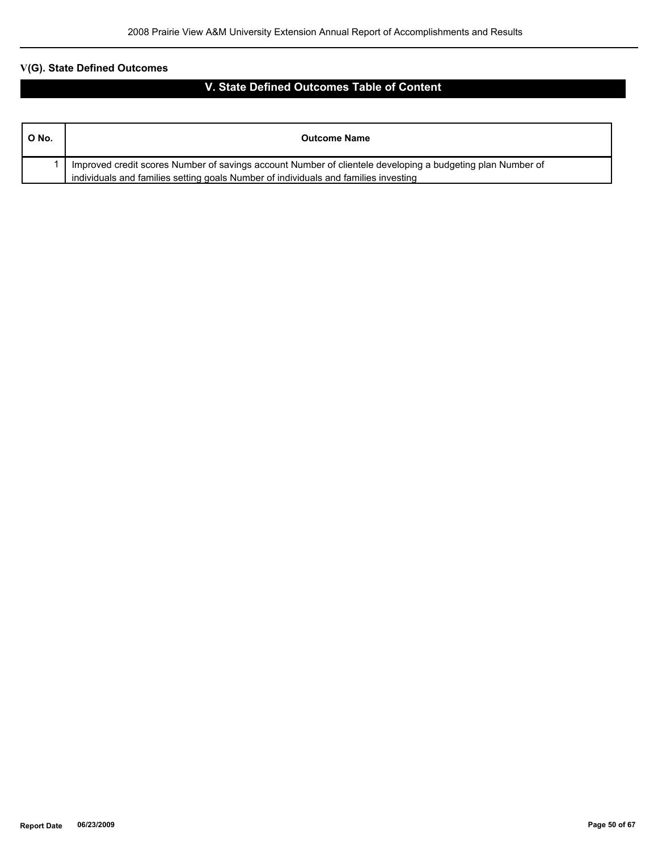# **V(G). State Defined Outcomes**

# **V. State Defined Outcomes Table of Content**

| O No. | <b>Outcome Name</b>                                                                                        |
|-------|------------------------------------------------------------------------------------------------------------|
|       | Improved credit scores Number of savings account Number of clientele developing a budgeting plan Number of |
|       | individuals and families setting goals Number of individuals and families investing                        |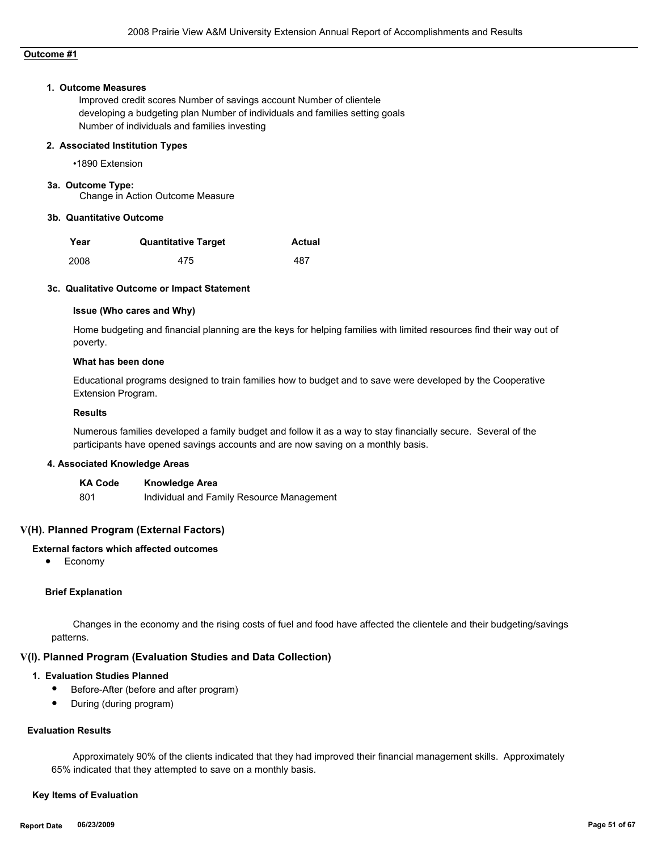# **Outcome #1**

#### **1. Outcome Measures**

Improved credit scores Number of savings account Number of clientele developing a budgeting plan Number of individuals and families setting goals Number of individuals and families investing

#### **2. Associated Institution Types**

•1890 Extension

#### **3a. Outcome Type:**

Change in Action Outcome Measure

#### **3b. Quantitative Outcome**

| Year | <b>Quantitative Target</b> | Actual |
|------|----------------------------|--------|
| 2008 | 475                        | 487    |

#### **3c. Qualitative Outcome or Impact Statement**

#### **Issue (Who cares and Why)**

Home budgeting and financial planning are the keys for helping families with limited resources find their way out of poverty.

#### **What has been done**

Educational programs designed to train families how to budget and to save were developed by the Cooperative Extension Program.

#### **Results**

Numerous families developed a family budget and follow it as a way to stay financially secure. Several of the participants have opened savings accounts and are now saving on a monthly basis.

#### **4. Associated Knowledge Areas**

| <b>KA Code</b> | <b>Knowledge Area</b>                     |
|----------------|-------------------------------------------|
| 801            | Individual and Family Resource Management |

#### **V(H). Planned Program (External Factors)**

# **External factors which affected outcomes**

● Economy

#### **Brief Explanation**

 Changes in the economy and the rising costs of fuel and food have affected the clientele and their budgeting/savings patterns.

# **V(I). Planned Program (Evaluation Studies and Data Collection)**

#### **1. Evaluation Studies Planned**

- Before-After (before and after program)
- During (during program)

### **Evaluation Results**

 Approximately 90% of the clients indicated that they had improved their financial management skills. Approximately 65% indicated that they attempted to save on a monthly basis.

# **Key Items of Evaluation**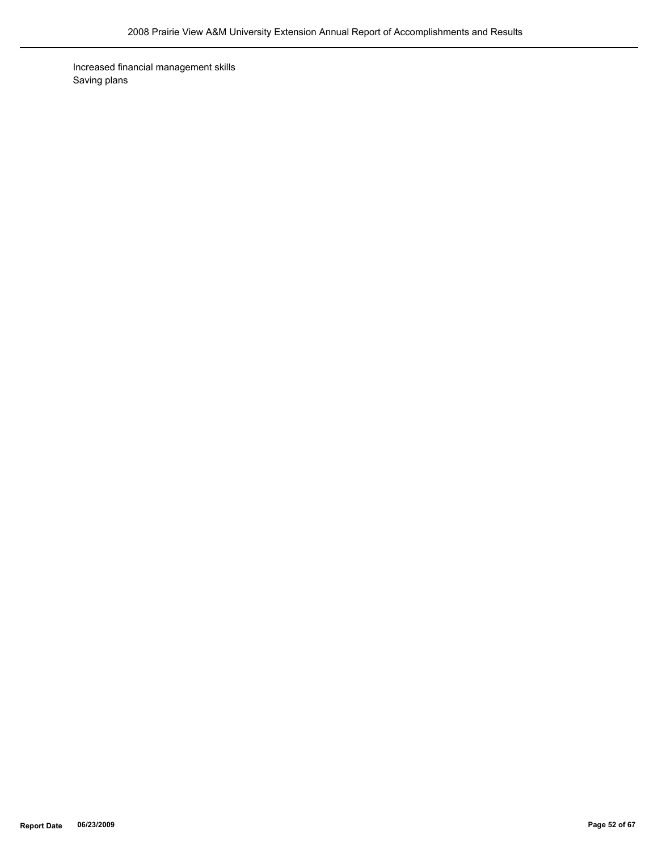Increased financial management skills Saving plans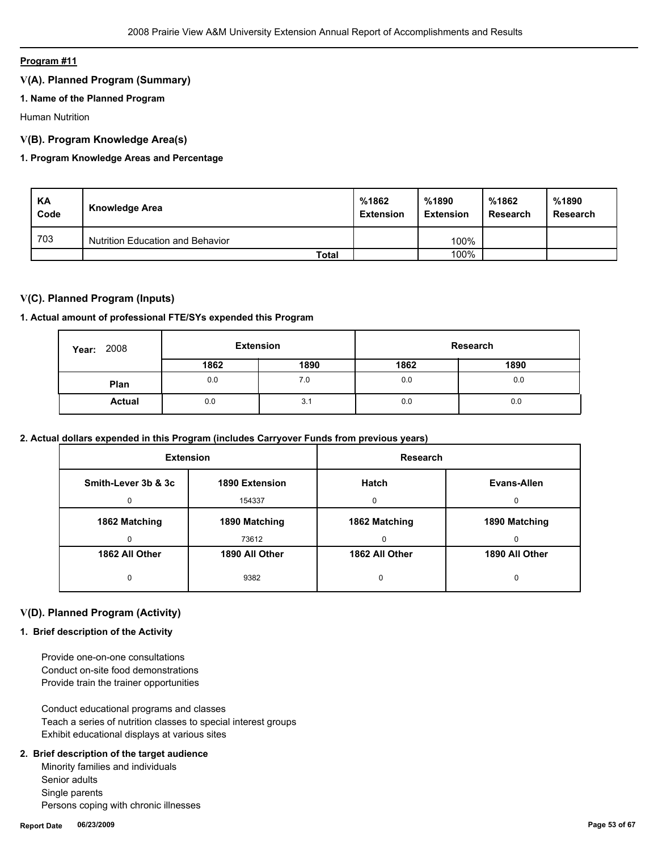# **Program #11**

# **V(A). Planned Program (Summary)**

# **1. Name of the Planned Program**

Human Nutrition

# **V(B). Program Knowledge Area(s)**

# **1. Program Knowledge Areas and Percentage**

| KA<br>Code | Knowledge Area                   | %1862<br><b>Extension</b> | %1890<br><b>Extension</b> | %1862<br>Research | %1890<br><b>Research</b> |
|------------|----------------------------------|---------------------------|---------------------------|-------------------|--------------------------|
| 703        | Nutrition Education and Behavior |                           | 100%                      |                   |                          |
|            | Total                            |                           | 100%                      |                   |                          |

# **V(C). Planned Program (Inputs)**

#### **1. Actual amount of professional FTE/SYs expended this Program**

| 2008<br>Year: | <b>Extension</b><br>Research |      |      |      |
|---------------|------------------------------|------|------|------|
|               | 1862                         | 1890 | 1862 | 1890 |
| Plan          | 0.0                          | 7.0  | 0.0  | 0.0  |
| <b>Actual</b> | 0.0                          | 3.1  | 0.0  | 0.0  |

# **2. Actual dollars expended in this Program (includes Carryover Funds from previous years)**

| <b>Extension</b>    |                | <b>Research</b> |                |
|---------------------|----------------|-----------------|----------------|
| Smith-Lever 3b & 3c | 1890 Extension | <b>Hatch</b>    | Evans-Allen    |
| 0                   | 154337         | $\Omega$        | 0              |
| 1862 Matching       | 1890 Matching  | 1862 Matching   | 1890 Matching  |
| 0                   | 73612          | $\Omega$        |                |
| 1862 All Other      | 1890 All Other | 1862 All Other  | 1890 All Other |
| 0                   | 9382           | 0               | 0              |

# **V(D). Planned Program (Activity)**

# **1. Brief description of the Activity**

 Provide one-on-one consultations Conduct on-site food demonstrations Provide train the trainer opportunities

 Conduct educational programs and classes Teach a series of nutrition classes to special interest groups Exhibit educational displays at various sites

#### **2. Brief description of the target audience**

 Minority families and individuals Senior adults Single parents Persons coping with chronic illnesses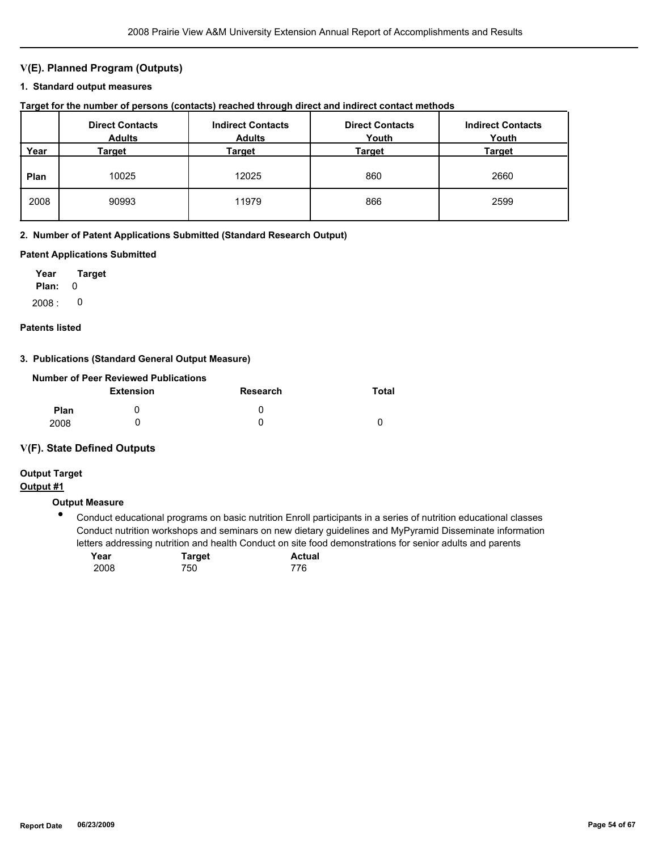# **V(E). Planned Program (Outputs)**

#### **1. Standard output measures**

### **Target for the number of persons (contacts) reached through direct and indirect contact methods**

|      | <b>Direct Contacts</b><br><b>Adults</b> | <b>Indirect Contacts</b><br><b>Adults</b> | <b>Direct Contacts</b><br>Youth | <b>Indirect Contacts</b><br>Youth |
|------|-----------------------------------------|-------------------------------------------|---------------------------------|-----------------------------------|
| Year | Target                                  | Target                                    | Target                          | Target                            |
| Plan | 10025                                   | 12025                                     | 860                             | 2660                              |
| 2008 | 90993                                   | 11979                                     | 866                             | 2599                              |

#### **2. Number of Patent Applications Submitted (Standard Research Output)**

#### **Patent Applications Submitted**

**Plan:** 0 **Year Target**  $2008: 0$ 

#### **Patents listed**

#### **3. Publications (Standard General Output Measure)**

|             | Number of Peer Reviewed Publications |                 |       |
|-------------|--------------------------------------|-----------------|-------|
|             | <b>Extension</b>                     | <b>Research</b> | Total |
| <b>Plan</b> |                                      | O               |       |
| 2008        |                                      |                 |       |

# **V(F). State Defined Outputs**

# **Output Target**

# **Output #1**

# **Output Measure**

● Conduct educational programs on basic nutrition Enroll participants in a series of nutrition educational classes Conduct nutrition workshops and seminars on new dietary guidelines and MyPyramid Disseminate information letters addressing nutrition and health Conduct on site food demonstrations for senior adults and parents

| Year | <b>Target</b> | Actual |
|------|---------------|--------|
| 2008 | 750           | 776    |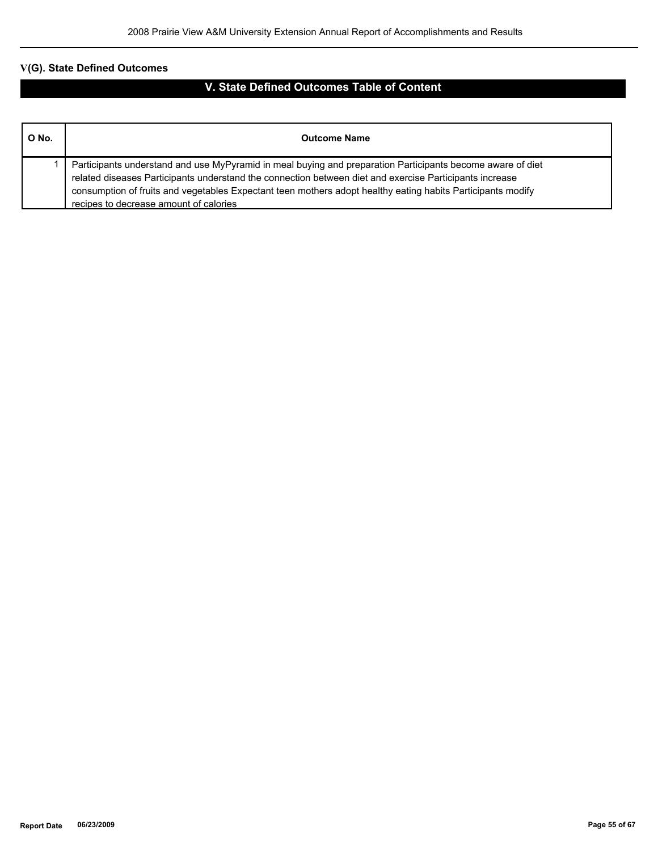# **V(G). State Defined Outcomes**

# **V. State Defined Outcomes Table of Content**

| O No. | <b>Outcome Name</b>                                                                                                                                                                                                                                                                                                                                                            |
|-------|--------------------------------------------------------------------------------------------------------------------------------------------------------------------------------------------------------------------------------------------------------------------------------------------------------------------------------------------------------------------------------|
|       | Participants understand and use MyPyramid in meal buying and preparation Participants become aware of diet<br>related diseases Participants understand the connection between diet and exercise Participants increase<br>consumption of fruits and vegetables Expectant teen mothers adopt healthy eating habits Participants modify<br>recipes to decrease amount of calories |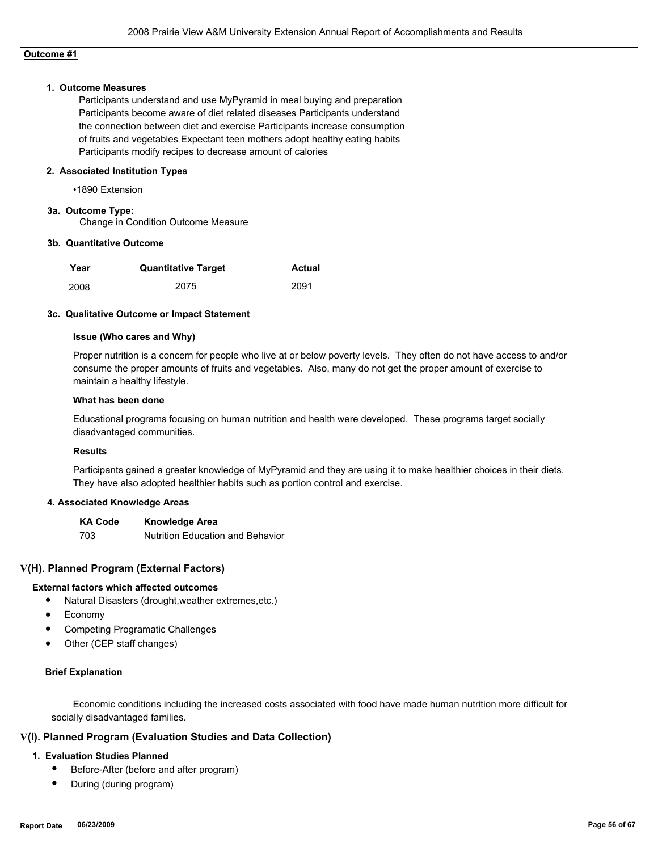# **Outcome #1**

#### **1. Outcome Measures**

Participants understand and use MyPyramid in meal buying and preparation Participants become aware of diet related diseases Participants understand the connection between diet and exercise Participants increase consumption of fruits and vegetables Expectant teen mothers adopt healthy eating habits Participants modify recipes to decrease amount of calories

### **2. Associated Institution Types**

•1890 Extension

# **3a. Outcome Type:**

Change in Condition Outcome Measure

#### **3b. Quantitative Outcome**

| Year | <b>Quantitative Target</b> | Actual |
|------|----------------------------|--------|
| 2008 | 2075                       | 2091   |

#### **3c. Qualitative Outcome or Impact Statement**

#### **Issue (Who cares and Why)**

Proper nutrition is a concern for people who live at or below poverty levels. They often do not have access to and/or consume the proper amounts of fruits and vegetables. Also, many do not get the proper amount of exercise to maintain a healthy lifestyle.

#### **What has been done**

Educational programs focusing on human nutrition and health were developed. These programs target socially disadvantaged communities.

#### **Results**

Participants gained a greater knowledge of MyPyramid and they are using it to make healthier choices in their diets. They have also adopted healthier habits such as portion control and exercise.

#### **4. Associated Knowledge Areas**

**KA Code Knowledge Area** 703 Nutrition Education and Behavior

### **V(H). Planned Program (External Factors)**

#### **External factors which affected outcomes**

- Natural Disasters (drought,weather extremes,etc.)
- Economy
- Competing Programatic Challenges
- Other (CEP staff changes)

#### **Brief Explanation**

 Economic conditions including the increased costs associated with food have made human nutrition more difficult for socially disadvantaged families.

#### **V(I). Planned Program (Evaluation Studies and Data Collection)**

### **1. Evaluation Studies Planned**

- Before-After (before and after program)
- During (during program)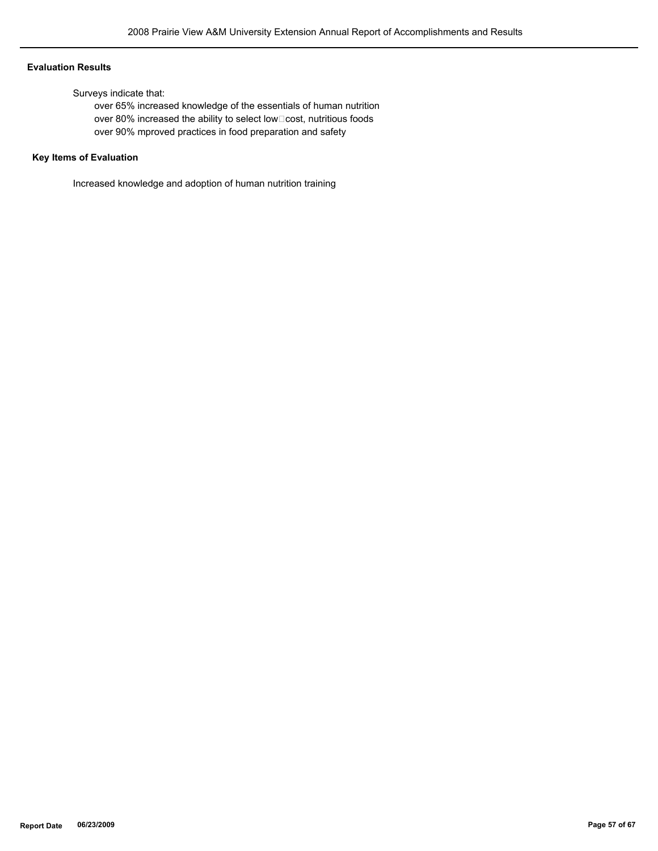#### **Evaluation Results**

Surveys indicate that:

 over 65% increased knowledge of the essentials of human nutrition over 80% increased the ability to select low□cost, nutritious foods over 90% mproved practices in food preparation and safety

# **Key Items of Evaluation**

Increased knowledge and adoption of human nutrition training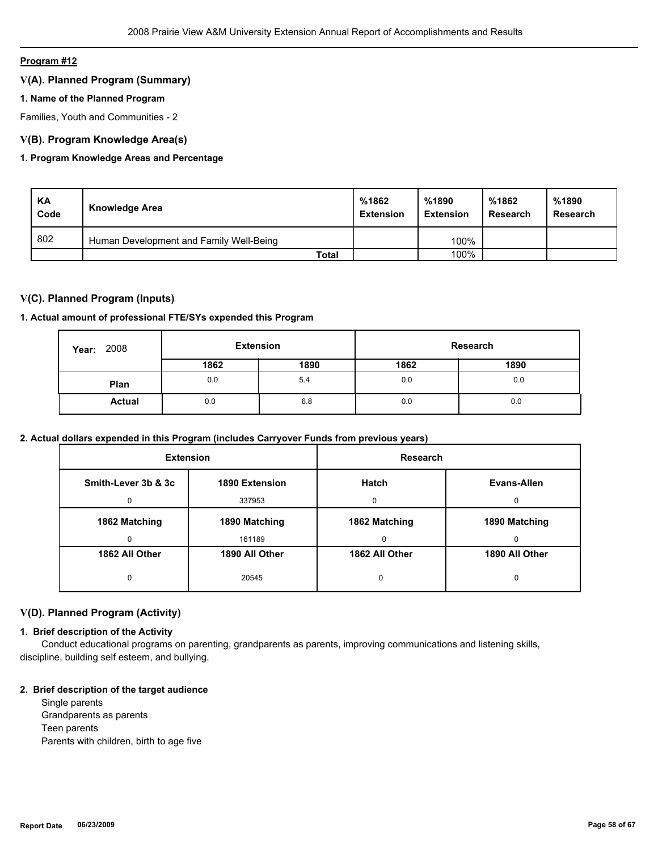# **Program #12**

# **V(A). Planned Program (Summary)**

# **1. Name of the Planned Program**

Families, Youth and Communities - 2

# **V(B). Program Knowledge Area(s)**

# **1. Program Knowledge Areas and Percentage**

| KA<br>Code | Knowledge Area                          | %1862<br><b>Extension</b> | %1890<br><b>Extension</b> | %1862<br>Research | %1890<br>Research |
|------------|-----------------------------------------|---------------------------|---------------------------|-------------------|-------------------|
| 802        | Human Development and Family Well-Being |                           | 100%                      |                   |                   |
|            | Total                                   |                           | 100%                      |                   |                   |

# **V(C). Planned Program (Inputs)**

#### **1. Actual amount of professional FTE/SYs expended this Program**

| 2008<br>Year: | <b>Extension</b> |      | Research |      |
|---------------|------------------|------|----------|------|
|               | 1862             | 1890 | 1862     | 1890 |
| Plan          | 0.0              | 5.4  | 0.0      | 0.0  |
| <b>Actual</b> | 0.0              | 6.8  | 0.0      | 0.0  |

# **2. Actual dollars expended in this Program (includes Carryover Funds from previous years)**

| <b>Extension</b>    |                | Research       |                |
|---------------------|----------------|----------------|----------------|
| Smith-Lever 3b & 3c | 1890 Extension | <b>Hatch</b>   | Evans-Allen    |
| 0                   | 337953         | $\Omega$       | 0              |
| 1862 Matching       | 1890 Matching  | 1862 Matching  | 1890 Matching  |
| 0                   | 161189         | 0              | 0              |
| 1862 All Other      | 1890 All Other | 1862 All Other | 1890 All Other |
| 0                   | 20545          | 0              | 0              |

# **V(D). Planned Program (Activity)**

# **1. Brief description of the Activity**

 Conduct educational programs on parenting, grandparents as parents, improving communications and listening skills, discipline, building self esteem, and bullying.

#### **2. Brief description of the target audience**

 Single parents Grandparents as parents Teen parents Parents with children, birth to age five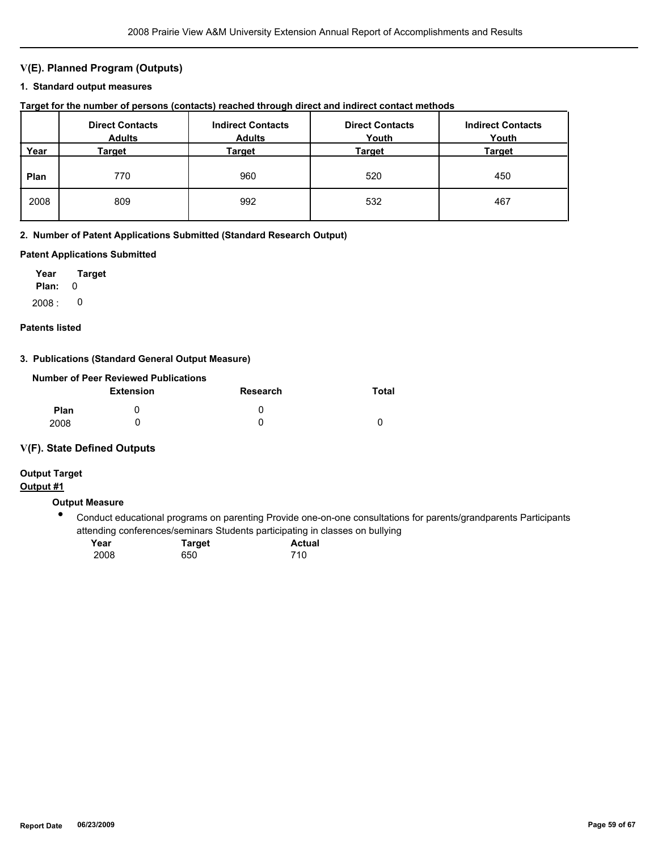# **V(E). Planned Program (Outputs)**

### **1. Standard output measures**

| Target for the number of persons (contacts) reached through direct and indirect contact methods |  |  |  |  |  |  |
|-------------------------------------------------------------------------------------------------|--|--|--|--|--|--|
|-------------------------------------------------------------------------------------------------|--|--|--|--|--|--|

|      | <b>Direct Contacts</b><br><b>Adults</b> | <b>Indirect Contacts</b><br><b>Adults</b> | <b>Direct Contacts</b><br>Youth | <b>Indirect Contacts</b><br>Youth |
|------|-----------------------------------------|-------------------------------------------|---------------------------------|-----------------------------------|
| Year | Target                                  | Target                                    | Target                          | <b>Target</b>                     |
| Plan | 770                                     | 960                                       | 520                             | 450                               |
| 2008 | 809                                     | 992                                       | 532                             | 467                               |

#### **2. Number of Patent Applications Submitted (Standard Research Output)**

#### **Patent Applications Submitted**

**Plan:** 0 **Year Target**  $2008: 0$ 

# **Patents listed**

# **3. Publications (Standard General Output Measure)**

|             | Number of Peer Reviewed Publications |                 |       |
|-------------|--------------------------------------|-----------------|-------|
|             | <b>Extension</b>                     | <b>Research</b> | Total |
| <b>Plan</b> |                                      | $\mathbf{I}$    |       |
| 2008        |                                      |                 |       |

# **V(F). State Defined Outputs**

# **Output Target**

# **Output #1**

# **Output Measure**

 $\bullet$ Conduct educational programs on parenting Provide one-on-one consultations for parents/grandparents Participants attending conferences/seminars Students participating in classes on bullying

| Year | <b>Target</b> | <b>Actual</b> |
|------|---------------|---------------|
| 2008 | 650           | 710           |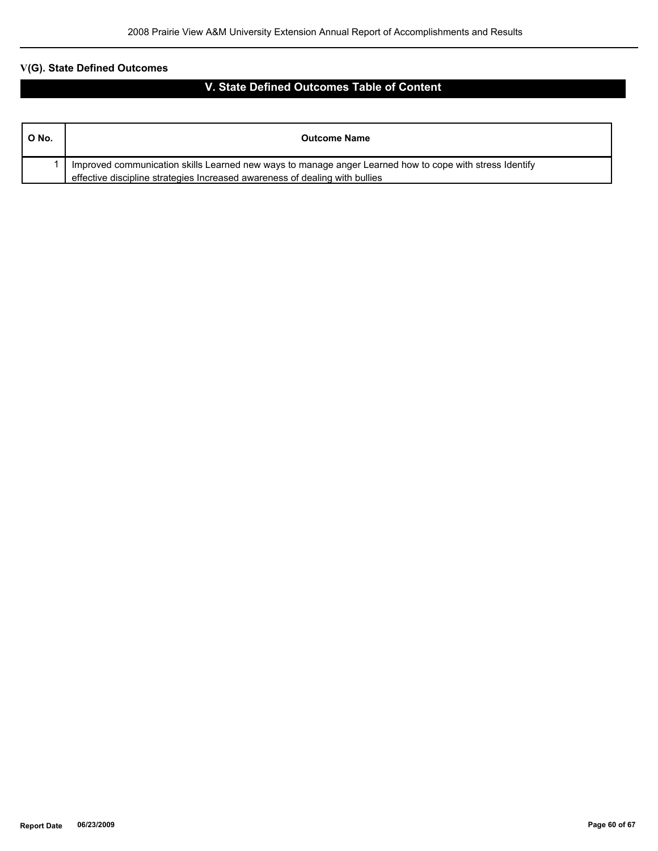# **V(G). State Defined Outcomes**

# **V. State Defined Outcomes Table of Content**

| O No. | <b>Outcome Name</b>                                                                                     |
|-------|---------------------------------------------------------------------------------------------------------|
|       | Improved communication skills Learned new ways to manage anger Learned how to cope with stress Identify |
|       | effective discipline strategies Increased awareness of dealing with bullies                             |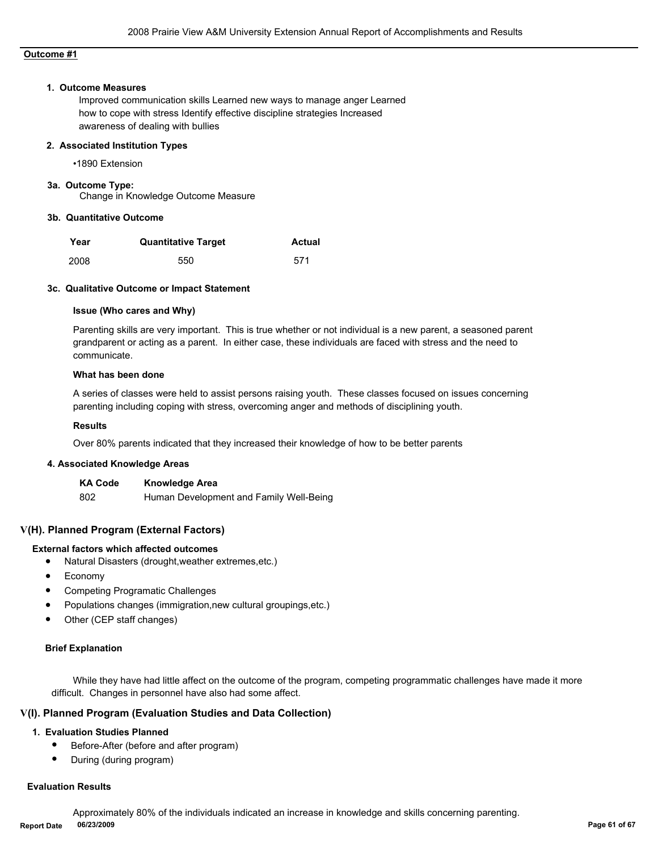# **Outcome #1**

#### **1. Outcome Measures**

Improved communication skills Learned new ways to manage anger Learned how to cope with stress Identify effective discipline strategies Increased awareness of dealing with bullies

#### **2. Associated Institution Types**

•1890 Extension

# **3a. Outcome Type:**

Change in Knowledge Outcome Measure

#### **3b. Quantitative Outcome**

| Year | <b>Quantitative Target</b> | <b>Actual</b> |
|------|----------------------------|---------------|
| 2008 | 550                        | 571           |

#### **3c. Qualitative Outcome or Impact Statement**

#### **Issue (Who cares and Why)**

Parenting skills are very important. This is true whether or not individual is a new parent, a seasoned parent grandparent or acting as a parent. In either case, these individuals are faced with stress and the need to communicate.

#### **What has been done**

A series of classes were held to assist persons raising youth. These classes focused on issues concerning parenting including coping with stress, overcoming anger and methods of disciplining youth.

#### **Results**

Over 80% parents indicated that they increased their knowledge of how to be better parents

#### **4. Associated Knowledge Areas**

| <b>KA Code</b> | <b>Knowledge Area</b>                   |
|----------------|-----------------------------------------|
| 802            | Human Development and Family Well-Being |

# **V(H). Planned Program (External Factors)**

# **External factors which affected outcomes**

- Natural Disasters (drought,weather extremes,etc.)
- **Economy**
- Competing Programatic Challenges
- Populations changes (immigration,new cultural groupings,etc.)
- Other (CEP staff changes)

#### **Brief Explanation**

While they have had little affect on the outcome of the program, competing programmatic challenges have made it more difficult. Changes in personnel have also had some affect.

#### **V(I). Planned Program (Evaluation Studies and Data Collection)**

#### **1. Evaluation Studies Planned**

- Before-After (before and after program)
- During (during program)

#### **Evaluation Results**

 Approximately 80% of the individuals indicated an increase in knowledge and skills concerning parenting. **Report Date 06/23/2009 Page 61 of 67**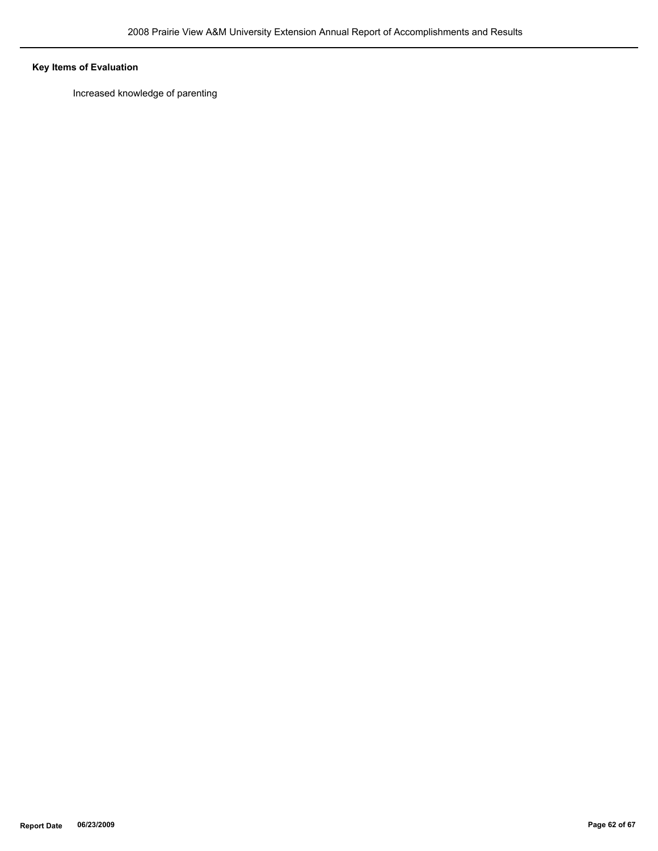# **Key Items of Evaluation**

Increased knowledge of parenting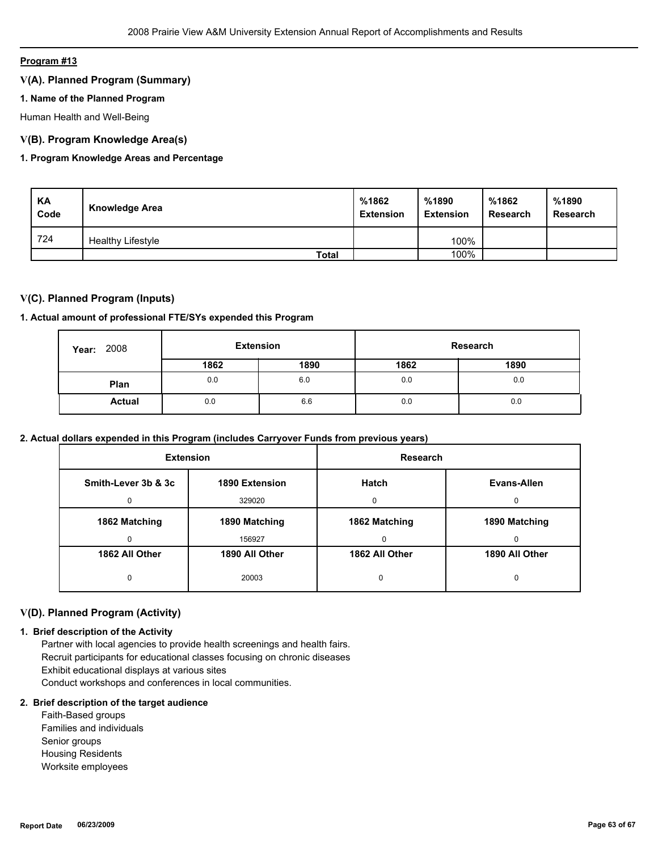# **Program #13**

# **V(A). Planned Program (Summary)**

# **1. Name of the Planned Program**

Human Health and Well-Being

# **V(B). Program Knowledge Area(s)**

# **1. Program Knowledge Areas and Percentage**

| KA<br>Code | <b>Knowledge Area</b>    | %1862<br><b>Extension</b> | %1890<br><b>Extension</b> | %1862<br><b>Research</b> | %1890<br><b>Research</b> |
|------------|--------------------------|---------------------------|---------------------------|--------------------------|--------------------------|
| 724        | <b>Healthy Lifestyle</b> |                           | 100%                      |                          |                          |
|            | <b>Total</b>             |                           | 100%                      |                          |                          |

# **V(C). Planned Program (Inputs)**

# **1. Actual amount of professional FTE/SYs expended this Program**

| 2008<br>Year: | <b>Extension</b> |      | Research |      |
|---------------|------------------|------|----------|------|
|               | 1862             | 1890 | 1862     | 1890 |
| Plan          | 0.0              | 6.0  | 0.0      | 0.0  |
| <b>Actual</b> | 0.0              | 6.6  | 0.0      | 0.0  |

# **2. Actual dollars expended in this Program (includes Carryover Funds from previous years)**

| <b>Extension</b>    |                | <b>Research</b> |                |  |
|---------------------|----------------|-----------------|----------------|--|
| Smith-Lever 3b & 3c | 1890 Extension | Hatch           | Evans-Allen    |  |
| 0                   | 329020         | $\Omega$        | 0              |  |
| 1862 Matching       | 1890 Matching  | 1862 Matching   | 1890 Matching  |  |
| 0                   | 156927         | 0               | 0              |  |
| 1862 All Other      | 1890 All Other | 1862 All Other  | 1890 All Other |  |
| 0                   | 20003          | 0               | 0              |  |

# **V(D). Planned Program (Activity)**

#### **1. Brief description of the Activity**

 Partner with local agencies to provide health screenings and health fairs. Recruit participants for educational classes focusing on chronic diseases Exhibit educational displays at various sites Conduct workshops and conferences in local communities.

#### **2. Brief description of the target audience**

 Faith-Based groups Families and individuals Senior groups Housing Residents Worksite employees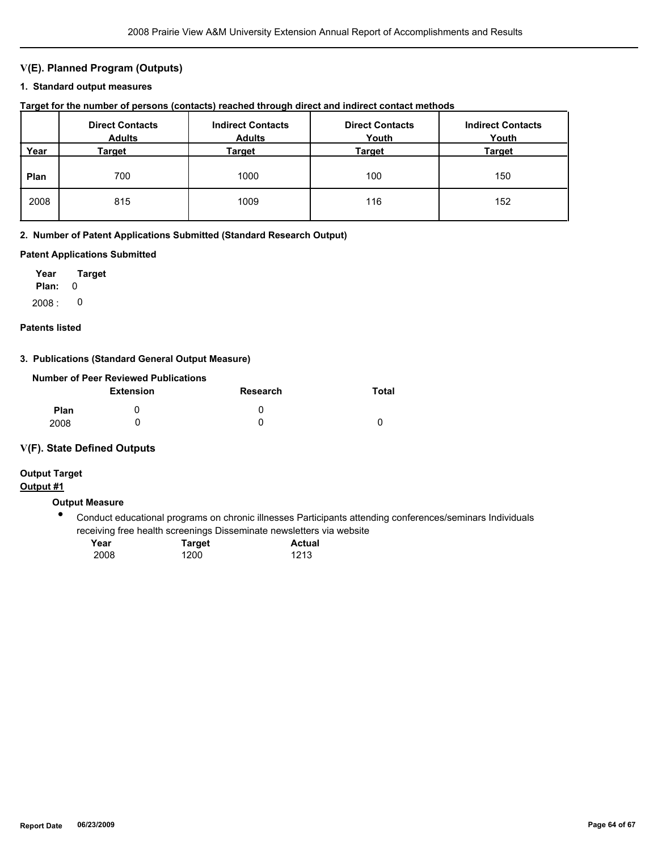# **V(E). Planned Program (Outputs)**

### **1. Standard output measures**

| Target for the number of persons (contacts) reached through direct and indirect contact methods |  |  |  |  |  |  |
|-------------------------------------------------------------------------------------------------|--|--|--|--|--|--|
|-------------------------------------------------------------------------------------------------|--|--|--|--|--|--|

|      | <b>Direct Contacts</b><br><b>Adults</b> | <b>Indirect Contacts</b><br><b>Adults</b> | <b>Direct Contacts</b><br>Youth | <b>Indirect Contacts</b><br>Youth |
|------|-----------------------------------------|-------------------------------------------|---------------------------------|-----------------------------------|
| Year | Target                                  | Target                                    | Target                          | <b>Target</b>                     |
| Plan | 700                                     | 1000                                      | 100                             | 150                               |
| 2008 | 815                                     | 1009                                      | 116                             | 152                               |

#### **2. Number of Patent Applications Submitted (Standard Research Output)**

#### **Patent Applications Submitted**

**Plan:** 0 **Year Target**  $2008: 0$ 

# **Patents listed**

# **3. Publications (Standard General Output Measure)**

|             | Number of Peer Reviewed Publications |                 |       |
|-------------|--------------------------------------|-----------------|-------|
|             | <b>Extension</b>                     | <b>Research</b> | Total |
| <b>Plan</b> |                                      | $\mathbf{I}$    |       |
| 2008        |                                      |                 |       |

# **V(F). State Defined Outputs**

# **Output Target**

# **Output #1**

# **Output Measure**

 $\bullet$ Conduct educational programs on chronic illnesses Participants attending conferences/seminars Individuals receiving free health screenings Disseminate newsletters via website

| Year | Target | <b>Actual</b> |
|------|--------|---------------|
| 2008 | 1200   | 1213          |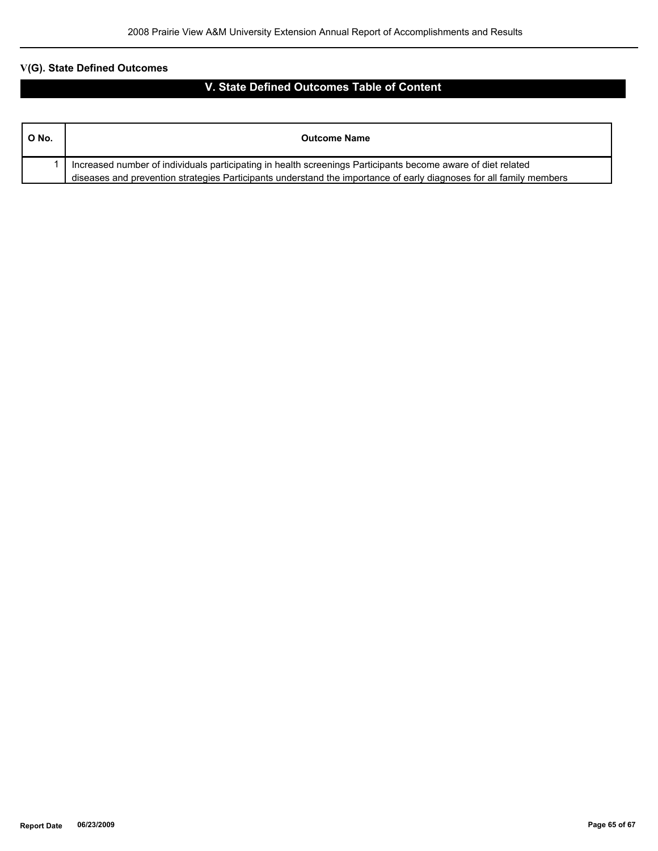# **V(G). State Defined Outcomes**

# **V. State Defined Outcomes Table of Content**

| O No. | <b>Outcome Name</b>                                                                                                 |
|-------|---------------------------------------------------------------------------------------------------------------------|
|       | Increased number of individuals participating in health screenings Participants become aware of diet related        |
|       | diseases and prevention strategies Participants understand the importance of early diagnoses for all family members |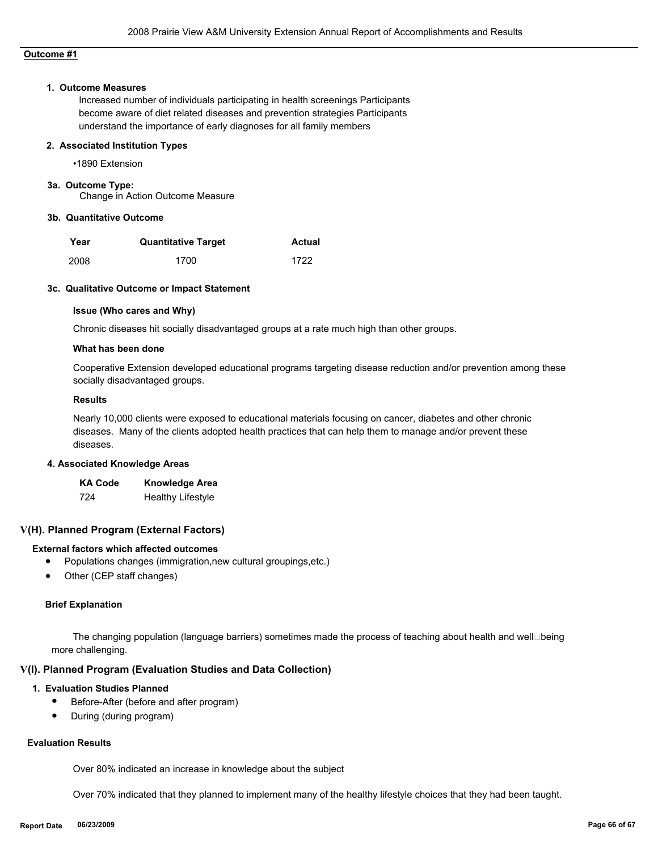# **Outcome #1**

#### **1. Outcome Measures**

Increased number of individuals participating in health screenings Participants become aware of diet related diseases and prevention strategies Participants understand the importance of early diagnoses for all family members

#### **2. Associated Institution Types**

•1890 Extension

# **3a. Outcome Type:**

Change in Action Outcome Measure

#### **3b. Quantitative Outcome**

| Year | <b>Quantitative Target</b> | Actual |
|------|----------------------------|--------|
| 2008 | 1700                       | 1722   |

#### **3c. Qualitative Outcome or Impact Statement**

#### **Issue (Who cares and Why)**

Chronic diseases hit socially disadvantaged groups at a rate much high than other groups.

#### **What has been done**

Cooperative Extension developed educational programs targeting disease reduction and/or prevention among these socially disadvantaged groups.

#### **Results**

Nearly 10,000 clients were exposed to educational materials focusing on cancer, diabetes and other chronic diseases. Many of the clients adopted health practices that can help them to manage and/or prevent these diseases.

#### **4. Associated Knowledge Areas**

| <b>KA Code</b> | <b>Knowledge Area</b>    |
|----------------|--------------------------|
| 724            | <b>Healthy Lifestyle</b> |

# **V(H). Planned Program (External Factors)**

# **External factors which affected outcomes**

- Populations changes (immigration,new cultural groupings,etc.)
- Other (CEP staff changes)

#### **Brief Explanation**

The changing population (language barriers) sometimes made the process of teaching about health and well□being more challenging.

#### **V(I). Planned Program (Evaluation Studies and Data Collection)**

### **1. Evaluation Studies Planned**

- Before-After (before and after program)
- During (during program)

# **Evaluation Results**

Over 80% indicated an increase in knowledge about the subject

Over 70% indicated that they planned to implement many of the healthy lifestyle choices that they had been taught.